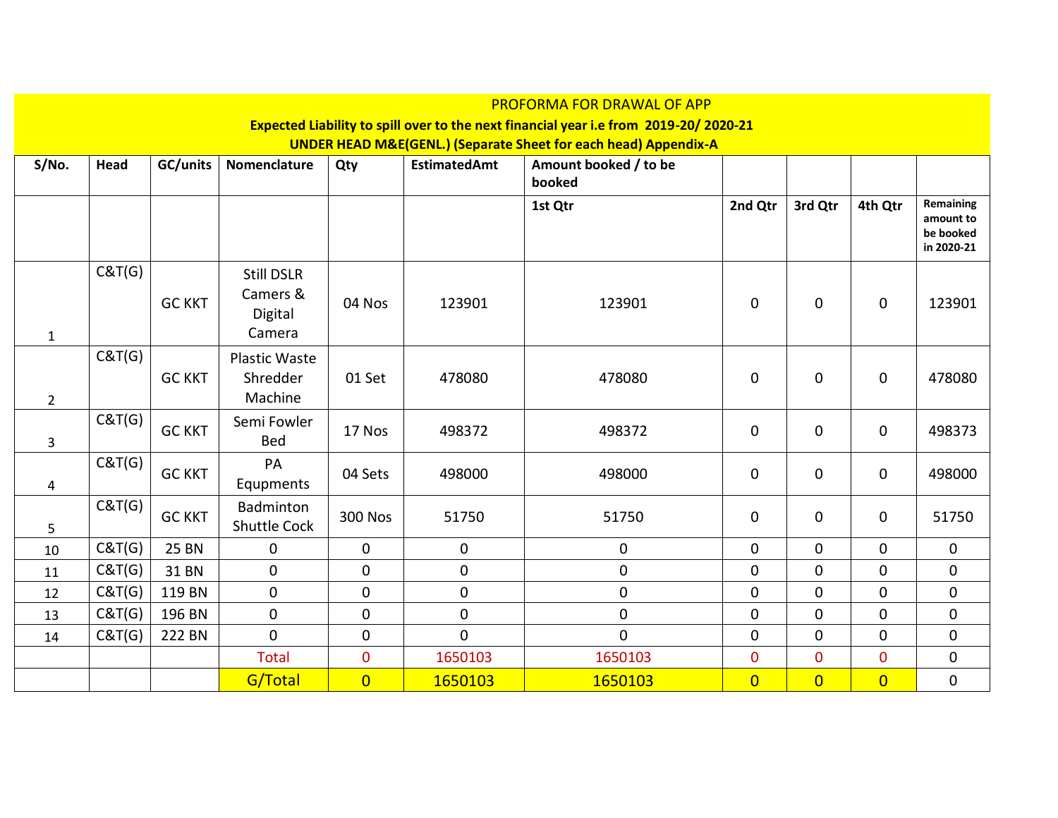|                |        |               |                                                    |                |                     | <b>PROFORMA FOR DRAWAL OF APP</b>                                                    |                |                |                |                                                   |
|----------------|--------|---------------|----------------------------------------------------|----------------|---------------------|--------------------------------------------------------------------------------------|----------------|----------------|----------------|---------------------------------------------------|
|                |        |               |                                                    |                |                     | Expected Liability to spill over to the next financial year i.e from 2019-20/2020-21 |                |                |                |                                                   |
|                |        |               |                                                    |                |                     | <b>UNDER HEAD M&amp;E(GENL.) (Separate Sheet for each head) Appendix-A</b>           |                |                |                |                                                   |
| S/No.          | Head   | GC/units      | Nomenclature                                       | Qty            | <b>EstimatedAmt</b> | Amount booked / to be<br>booked                                                      |                |                |                |                                                   |
|                |        |               |                                                    |                |                     | 1st Qtr                                                                              | 2nd Qtr        | 3rd Qtr        | 4th Qtr        | Remaining<br>amount to<br>be booked<br>in 2020-21 |
| $\mathbf{1}$   | C&T(G) | <b>GC KKT</b> | <b>Still DSLR</b><br>Camers &<br>Digital<br>Camera | 04 Nos         | 123901              | 123901                                                                               | $\Omega$       | 0              | $\mathbf 0$    | 123901                                            |
| $\overline{2}$ | C&T(G) | <b>GC KKT</b> | <b>Plastic Waste</b><br>Shredder<br>Machine        | 01 Set         | 478080              | 478080                                                                               | $\mathbf 0$    | 0              | $\mathbf 0$    | 478080                                            |
| 3              | C&T(G) | <b>GC KKT</b> | Semi Fowler<br>Bed                                 | 17 Nos         | 498372              | 498372                                                                               | $\mathbf 0$    | 0              | 0              | 498373                                            |
| 4              | C&T(G) | <b>GC KKT</b> | PA<br>Equpments                                    | 04 Sets        | 498000              | 498000                                                                               | 0              | 0              | 0              | 498000                                            |
| 5              | C&T(G) | <b>GC KKT</b> | Badminton<br><b>Shuttle Cock</b>                   | <b>300 Nos</b> | 51750               | 51750                                                                                | $\mathbf 0$    | 0              | $\mathbf 0$    | 51750                                             |
| 10             | C&T(G) | <b>25 BN</b>  | $\mathbf 0$                                        | $\mathbf 0$    | $\mathbf 0$         | $\mathbf 0$                                                                          | $\mathbf 0$    | $\overline{0}$ | $\mathbf 0$    | $\mathbf 0$                                       |
| 11             | C&T(G) | 31 BN         | $\mathbf 0$                                        | $\mathbf 0$    | $\pmb{0}$           | $\mathbf 0$                                                                          | $\mathbf 0$    | 0              | 0              | $\pmb{0}$                                         |
| 12             | C&T(G) | 119 BN        | $\mathbf 0$                                        | 0              | $\pmb{0}$           | $\mathbf 0$                                                                          | $\mathbf 0$    | 0              | $\mathbf 0$    | $\mathbf 0$                                       |
| 13             | C&T(G) | 196 BN        | $\pmb{0}$                                          | 0              | $\pmb{0}$           | $\pmb{0}$                                                                            | $\mathbf 0$    | 0              | $\mathbf 0$    | $\pmb{0}$                                         |
| 14             | C&T(G) | 222 BN        | $\mathbf 0$                                        | 0              | $\mathbf 0$         | $\mathbf 0$                                                                          | $\mathbf 0$    | $\mathbf 0$    | $\pmb{0}$      | $\pmb{0}$                                         |
|                |        |               | <b>Total</b>                                       | 0              | 1650103             | 1650103                                                                              | $\mathbf 0$    | $\mathbf 0$    | $\mathbf 0$    | 0                                                 |
|                |        |               | G/Total                                            | $\overline{0}$ | 1650103             | 1650103                                                                              | $\overline{0}$ | $\overline{0}$ | $\overline{0}$ | 0                                                 |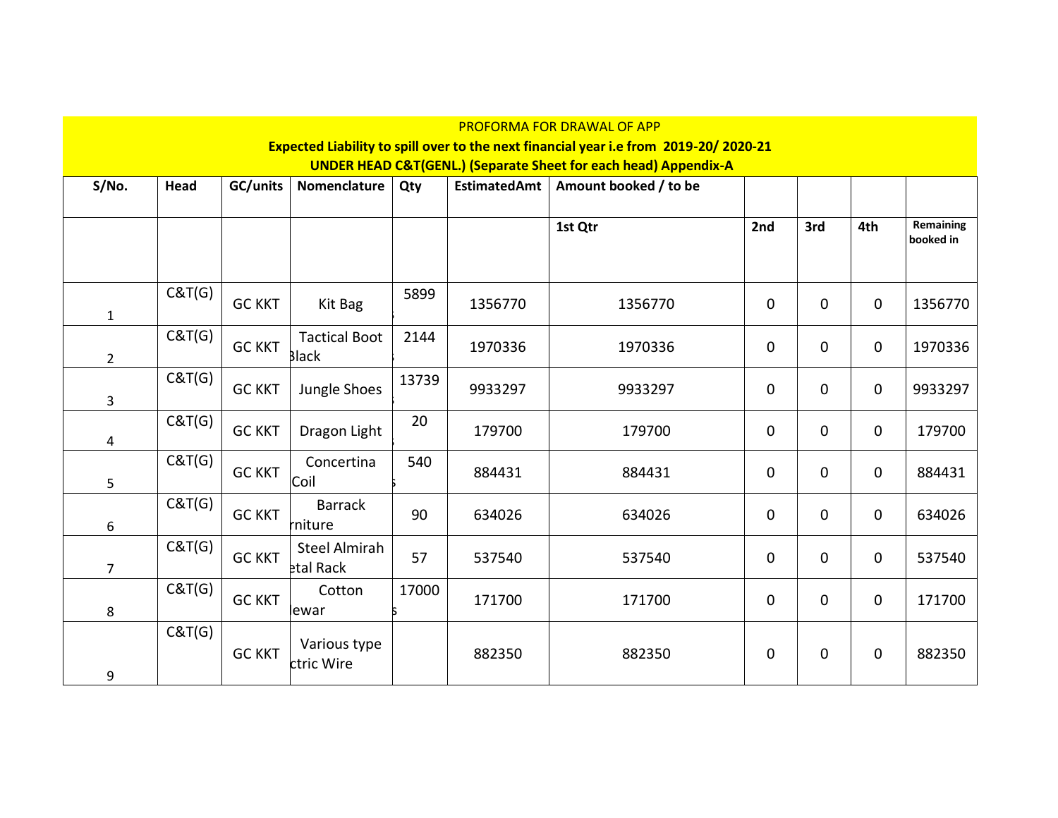|                | PROFORMA FOR DRAWAL OF APP<br>Expected Liability to spill over to the next financial year i.e from 2019-20/2020-21 |               |                      |       |              |                                                                            |             |     |             |                        |
|----------------|--------------------------------------------------------------------------------------------------------------------|---------------|----------------------|-------|--------------|----------------------------------------------------------------------------|-------------|-----|-------------|------------------------|
|                |                                                                                                                    |               |                      |       |              |                                                                            |             |     |             |                        |
|                |                                                                                                                    |               |                      |       |              | <b>UNDER HEAD C&amp;T(GENL.) (Separate Sheet for each head) Appendix-A</b> |             |     |             |                        |
| S/No.          | Head                                                                                                               | GC/units      | Nomenclature         | Qty   | EstimatedAmt | Amount booked / to be                                                      |             |     |             |                        |
|                |                                                                                                                    |               |                      |       |              |                                                                            |             |     |             |                        |
|                |                                                                                                                    |               |                      |       |              | 1st Qtr                                                                    | 2nd         | 3rd | 4th         | Remaining<br>booked in |
|                |                                                                                                                    |               |                      |       |              |                                                                            |             |     |             |                        |
|                |                                                                                                                    |               |                      |       |              |                                                                            |             |     |             |                        |
|                | C&T(G)                                                                                                             | <b>GC KKT</b> | Kit Bag              | 5899  | 1356770      | 1356770                                                                    | $\mathbf 0$ | 0   | $\mathbf 0$ | 1356770                |
| $\mathbf{1}$   |                                                                                                                    |               |                      |       |              |                                                                            |             |     |             |                        |
|                | C&T(G)                                                                                                             | <b>GC KKT</b> | <b>Tactical Boot</b> | 2144  | 1970336      | 1970336                                                                    | $\mathbf 0$ | 0   | $\mathbf 0$ | 1970336                |
| $\overline{2}$ |                                                                                                                    |               | <b>Black</b>         |       |              |                                                                            |             |     |             |                        |
|                | C&T(G)                                                                                                             | <b>GC KKT</b> | Jungle Shoes         | 13739 | 9933297      | 9933297                                                                    | $\mathbf 0$ | 0   | $\mathbf 0$ | 9933297                |
| 3              |                                                                                                                    |               |                      |       |              |                                                                            |             |     |             |                        |
|                | C&T(G)                                                                                                             | <b>GC KKT</b> | Dragon Light         | 20    | 179700       | 179700                                                                     | $\mathbf 0$ | 0   | $\mathbf 0$ | 179700                 |
| 4              |                                                                                                                    |               |                      |       |              |                                                                            |             |     |             |                        |
|                | C&T(G)                                                                                                             | <b>GC KKT</b> | Concertina           | 540   | 884431       | 884431                                                                     | $\mathbf 0$ | 0   | $\mathbf 0$ | 884431                 |
| 5              |                                                                                                                    |               | Coil                 |       |              |                                                                            |             |     |             |                        |
|                | C&T(G)                                                                                                             | <b>GC KKT</b> | <b>Barrack</b>       | 90    | 634026       | 634026                                                                     | 0           | 0   | $\mathbf 0$ | 634026                 |
| 6              |                                                                                                                    |               | rniture              |       |              |                                                                            |             |     |             |                        |
|                | C&T(G)                                                                                                             | <b>GC KKT</b> | Steel Almirah        | 57    | 537540       | 537540                                                                     | 0           | 0   | $\mathbf 0$ | 537540                 |
| $\overline{7}$ |                                                                                                                    |               | etal Rack            |       |              |                                                                            |             |     |             |                        |
|                | C&T(G)                                                                                                             | <b>GC KKT</b> | Cotton               | 17000 | 171700       | 171700                                                                     | $\mathbf 0$ | 0   | $\mathbf 0$ | 171700                 |
| 8              |                                                                                                                    |               | lewar                |       |              |                                                                            |             |     |             |                        |
|                | C&T(G)                                                                                                             |               | Various type         |       |              |                                                                            |             |     |             |                        |
|                |                                                                                                                    | <b>GC KKT</b> | ctric Wire           |       | 882350       | 882350                                                                     | 0           | 0   | $\mathbf 0$ | 882350                 |
| 9              |                                                                                                                    |               |                      |       |              |                                                                            |             |     |             |                        |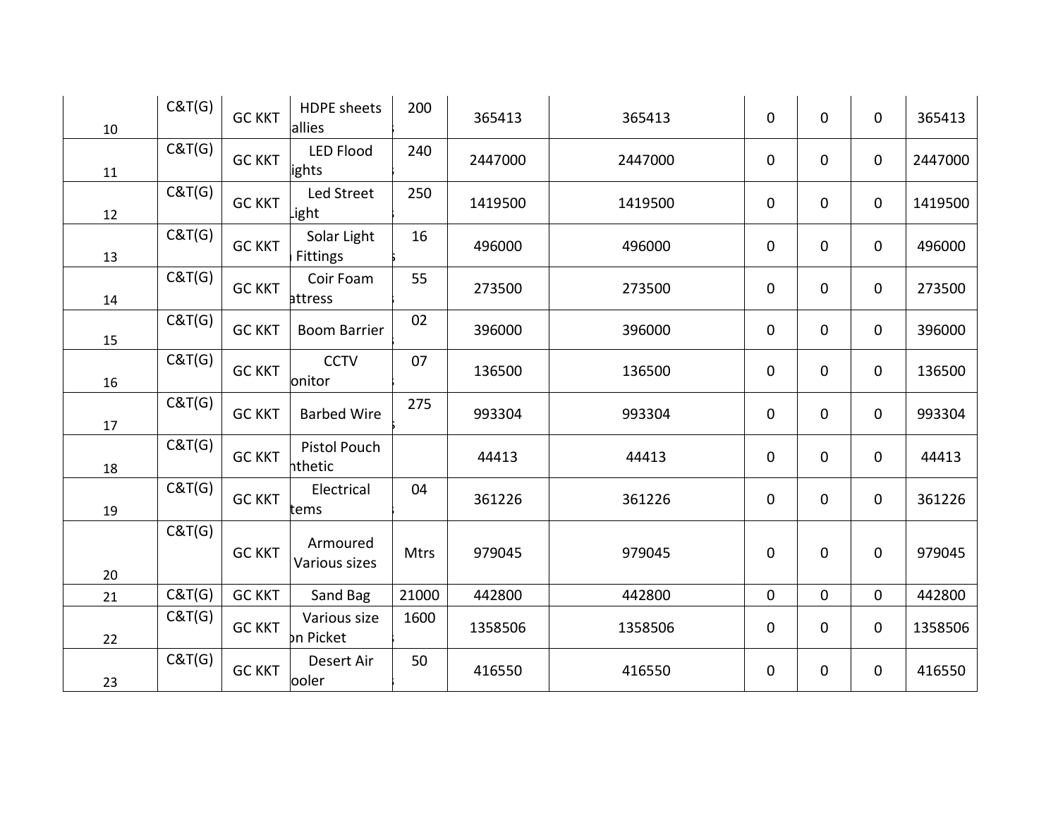| 10 | C&T(G) | <b>GC KKT</b> | <b>HDPE</b> sheets<br>allies | 200   | 365413  | 365413  | $\mathbf 0$ | 0 | $\mathbf 0$ | 365413  |
|----|--------|---------------|------------------------------|-------|---------|---------|-------------|---|-------------|---------|
| 11 | C&T(G) | <b>GC KKT</b> | <b>LED Flood</b><br>lights   | 240   | 2447000 | 2447000 | 0           | 0 | $\mathbf 0$ | 2447000 |
| 12 | C&T(G) | <b>GC KKT</b> | Led Street<br>.ight          | 250   | 1419500 | 1419500 | $\mathbf 0$ | 0 | $\mathbf 0$ | 1419500 |
| 13 | C&T(G) | <b>GC KKT</b> | Solar Light<br>Fittings      | 16    | 496000  | 496000  | $\mathbf 0$ | 0 | $\mathbf 0$ | 496000  |
| 14 | C&T(G) | <b>GC KKT</b> | Coir Foam<br>attress         | 55    | 273500  | 273500  | $\mathbf 0$ | 0 | $\mathbf 0$ | 273500  |
| 15 | C&T(G) | <b>GC KKT</b> | <b>Boom Barrier</b>          | 02    | 396000  | 396000  | $\mathbf 0$ | 0 | $\mathbf 0$ | 396000  |
| 16 | C&T(G) | <b>GC KKT</b> | <b>CCTV</b><br>onitor        | 07    | 136500  | 136500  | 0           | 0 | $\mathbf 0$ | 136500  |
| 17 | C&T(G) | <b>GC KKT</b> | <b>Barbed Wire</b>           | 275   | 993304  | 993304  | $\mathbf 0$ | 0 | $\mathbf 0$ | 993304  |
| 18 | C&T(G) | <b>GC KKT</b> | Pistol Pouch<br>hthetic      |       | 44413   | 44413   | 0           | 0 | $\mathbf 0$ | 44413   |
| 19 | C&T(G) | <b>GC KKT</b> | Electrical<br>tems           | 04    | 361226  | 361226  | $\mathbf 0$ | 0 | $\mathbf 0$ | 361226  |
| 20 | C&T(G) | <b>GC KKT</b> | Armoured<br>Various sizes    | Mtrs  | 979045  | 979045  | $\mathbf 0$ | 0 | $\mathbf 0$ | 979045  |
| 21 | C&T(G) | <b>GC KKT</b> | Sand Bag                     | 21000 | 442800  | 442800  | $\mathbf 0$ | 0 | $\mathbf 0$ | 442800  |
| 22 | C&T(G) | <b>GC KKT</b> | Various size<br>on Picket    | 1600  | 1358506 | 1358506 | $\mathbf 0$ | 0 | $\mathbf 0$ | 1358506 |
| 23 | C&T(G) | <b>GC KKT</b> | Desert Air<br>ooler          | 50    | 416550  | 416550  | 0           | 0 | $\mathbf 0$ | 416550  |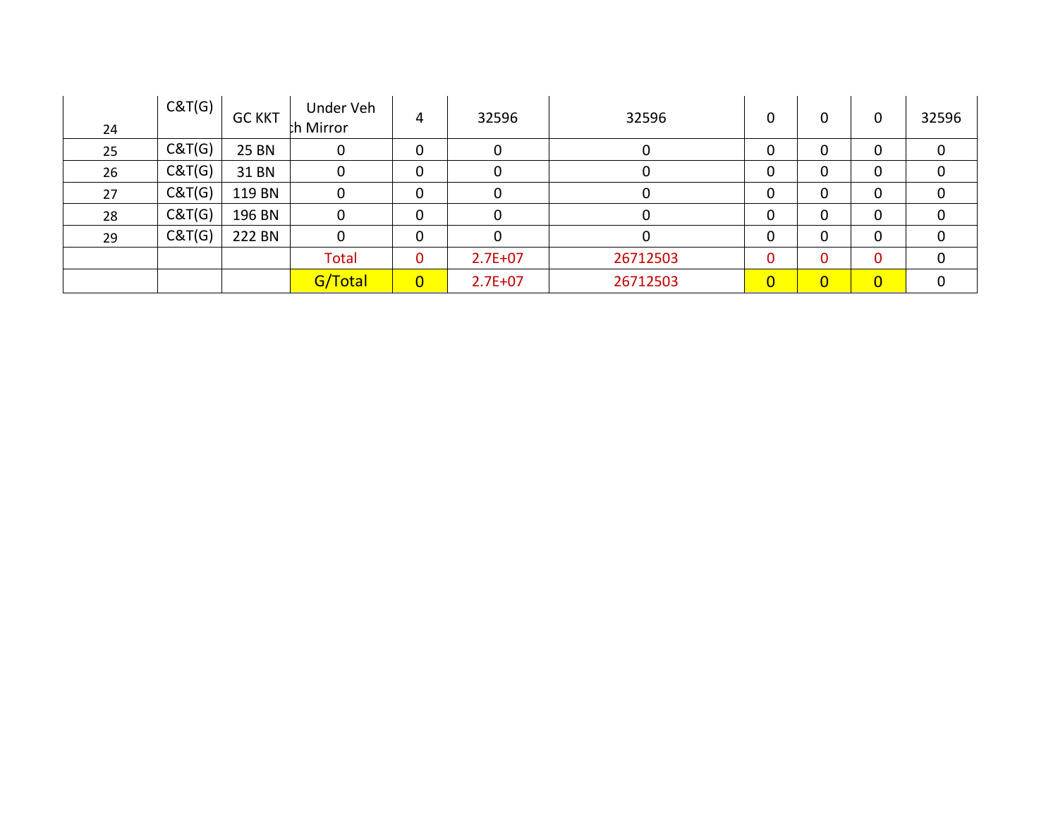| 24 | C&T(G) | <b>GC KKT</b> | Under Veh<br>th Mirror | 4              | 32596       | 32596    | 0              | 0              | 0              | 32596 |
|----|--------|---------------|------------------------|----------------|-------------|----------|----------------|----------------|----------------|-------|
| 25 | C&T(G) | <b>25 BN</b>  | 0                      | 0              | 0           | 0        | 0              | 0              | 0              | 0     |
| 26 | C&T(G) | 31 BN         | 0                      | 0              |             |          | 0              | 0              | 0              |       |
| 27 | C&T(G) | 119 BN        |                        | 0              |             |          | 0              | 0              | 0              |       |
| 28 | C&T(G) | 196 BN        | $\mathbf{0}$           | 0              |             | 0        | 0              | 0              | 0              |       |
| 29 | C&T(G) | 222 BN        | $\mathbf{0}$           | 0              |             | 0        | 0              | 0              | 0              |       |
|    |        |               | <b>Total</b>           | $\mathbf 0$    | $2.7E + 07$ | 26712503 | 0              | 0              | 0              |       |
|    |        |               | G/Total                | $\overline{0}$ | $2.7E + 07$ | 26712503 | $\overline{0}$ | $\overline{0}$ | $\overline{0}$ |       |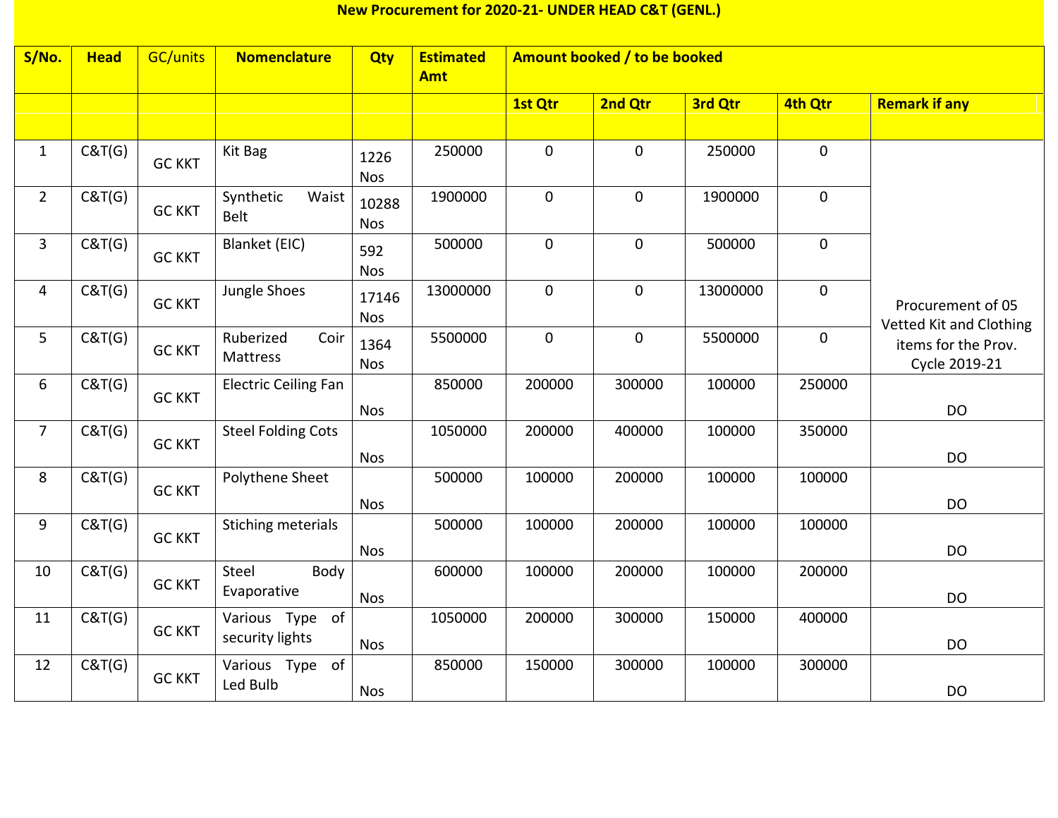## **New Procurement for 2020-21- UNDER HEAD C&T (GENL.)**

| S/No.          | <b>Head</b> | <b>GC/units</b> | <b>Nomenclature</b>                | Qty                 | <b>Estimated</b><br><b>Amt</b> | Amount booked / to be booked |             |          |             |                                              |
|----------------|-------------|-----------------|------------------------------------|---------------------|--------------------------------|------------------------------|-------------|----------|-------------|----------------------------------------------|
|                |             |                 |                                    |                     |                                | 1st Qtr                      | 2nd Qtr     | 3rd Qtr  | 4th Qtr     | <b>Remark if any</b>                         |
|                |             |                 |                                    |                     |                                |                              |             |          |             |                                              |
| $\mathbf{1}$   | C&T(G)      | <b>GC KKT</b>   | Kit Bag                            | 1226<br><b>Nos</b>  | 250000                         | $\pmb{0}$                    | $\mathbf 0$ | 250000   | $\mathbf 0$ |                                              |
| $\overline{2}$ | C&T(G)      | <b>GC KKT</b>   | Synthetic<br>Waist<br><b>Belt</b>  | 10288<br><b>Nos</b> | 1900000                        | $\mathbf 0$                  | $\mathbf 0$ | 1900000  | $\mathbf 0$ |                                              |
| $\overline{3}$ | C&T(G)      | <b>GC KKT</b>   | Blanket (EIC)                      | 592<br><b>Nos</b>   | 500000                         | $\mathbf 0$                  | $\mathbf 0$ | 500000   | $\mathbf 0$ |                                              |
| 4              | C&T(G)      | <b>GC KKT</b>   | Jungle Shoes                       | 17146<br><b>Nos</b> | 13000000                       | $\mathbf 0$                  | $\mathbf 0$ | 13000000 | $\mathbf 0$ | Procurement of 05<br>Vetted Kit and Clothing |
| 5              | C&T(G)      | <b>GC KKT</b>   | Coir<br>Ruberized<br>Mattress      | 1364<br><b>Nos</b>  | 5500000                        | $\pmb{0}$                    | $\pmb{0}$   | 5500000  | $\mathbf 0$ | items for the Prov.<br>Cycle 2019-21         |
| 6              | C&T(G)      | <b>GC KKT</b>   | <b>Electric Ceiling Fan</b>        | <b>Nos</b>          | 850000                         | 200000                       | 300000      | 100000   | 250000      | <b>DO</b>                                    |
| $\overline{7}$ | C&T(G)      | <b>GC KKT</b>   | <b>Steel Folding Cots</b>          | <b>Nos</b>          | 1050000                        | 200000                       | 400000      | 100000   | 350000      | DO                                           |
| 8              | C&T(G)      | <b>GC KKT</b>   | Polythene Sheet                    | <b>Nos</b>          | 500000                         | 100000                       | 200000      | 100000   | 100000      | <b>DO</b>                                    |
| 9              | C&T(G)      | <b>GC KKT</b>   | Stiching meterials                 | <b>Nos</b>          | 500000                         | 100000                       | 200000      | 100000   | 100000      | <b>DO</b>                                    |
| 10             | C&T(G)      | <b>GC KKT</b>   | Body<br>Steel<br>Evaporative       | <b>Nos</b>          | 600000                         | 100000                       | 200000      | 100000   | 200000      | DO                                           |
| 11             | C&T(G)      | <b>GC KKT</b>   | Various Type of<br>security lights | <b>Nos</b>          | 1050000                        | 200000                       | 300000      | 150000   | 400000      | <b>DO</b>                                    |
| 12             | C&T(G)      | <b>GC KKT</b>   | of<br>Various Type<br>Led Bulb     | <b>Nos</b>          | 850000                         | 150000                       | 300000      | 100000   | 300000      | <b>DO</b>                                    |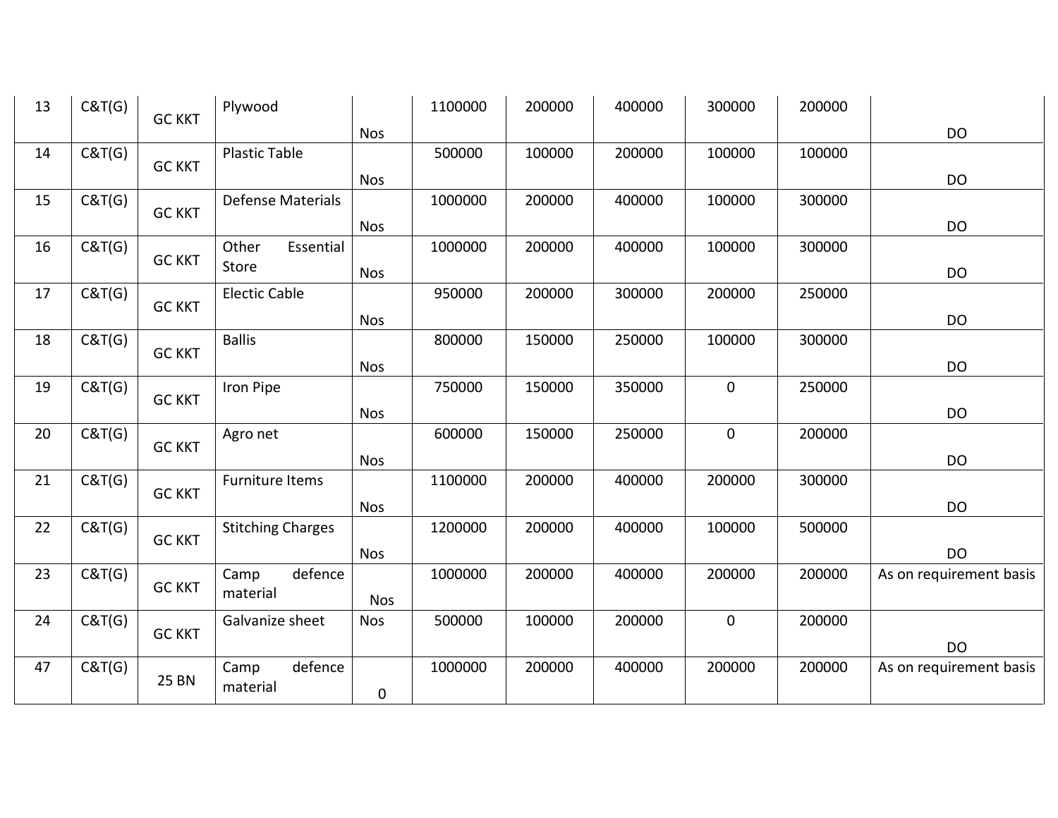| 13 | C&T(G) | <b>GC KKT</b> | Plywood                  |            | 1100000 | 200000 | 400000 | 300000         | 200000 |                         |
|----|--------|---------------|--------------------------|------------|---------|--------|--------|----------------|--------|-------------------------|
|    |        |               |                          | <b>Nos</b> |         |        |        |                |        | DO                      |
| 14 | C&T(G) |               | <b>Plastic Table</b>     |            | 500000  | 100000 | 200000 | 100000         | 100000 |                         |
|    |        | <b>GC KKT</b> |                          | <b>Nos</b> |         |        |        |                |        | <b>DO</b>               |
| 15 | C&T(G) |               | <b>Defense Materials</b> |            | 1000000 | 200000 | 400000 | 100000         | 300000 |                         |
|    |        | <b>GC KKT</b> |                          | <b>Nos</b> |         |        |        |                |        | <b>DO</b>               |
| 16 | C&T(G) |               | Other<br>Essential       |            | 1000000 | 200000 | 400000 | 100000         | 300000 |                         |
|    |        | <b>GC KKT</b> | Store                    | <b>Nos</b> |         |        |        |                |        | <b>DO</b>               |
| 17 | C&T(G) |               | <b>Electic Cable</b>     |            | 950000  | 200000 | 300000 | 200000         | 250000 |                         |
|    |        | <b>GC KKT</b> |                          | <b>Nos</b> |         |        |        |                |        | DO                      |
| 18 | C&T(G) |               | <b>Ballis</b>            |            | 800000  | 150000 | 250000 | 100000         | 300000 |                         |
|    |        | <b>GC KKT</b> |                          | <b>Nos</b> |         |        |        |                |        | DO                      |
| 19 | C&T(G) |               | Iron Pipe                |            | 750000  | 150000 | 350000 | $\mathbf 0$    | 250000 |                         |
|    |        | <b>GC KKT</b> |                          | <b>Nos</b> |         |        |        |                |        | <b>DO</b>               |
| 20 | C&T(G) |               | Agro net                 |            | 600000  | 150000 | 250000 | $\mathbf 0$    | 200000 |                         |
|    |        | <b>GC KKT</b> |                          | <b>Nos</b> |         |        |        |                |        | <b>DO</b>               |
| 21 | C&T(G) |               | Furniture Items          |            | 1100000 | 200000 | 400000 | 200000         | 300000 |                         |
|    |        | <b>GC KKT</b> |                          | <b>Nos</b> |         |        |        |                |        | <b>DO</b>               |
| 22 | C&T(G) |               | <b>Stitching Charges</b> |            | 1200000 | 200000 | 400000 | 100000         | 500000 |                         |
|    |        | <b>GC KKT</b> |                          | <b>Nos</b> |         |        |        |                |        | <b>DO</b>               |
| 23 | C&T(G) |               | defence<br>Camp          |            | 1000000 | 200000 | 400000 | 200000         | 200000 | As on requirement basis |
|    |        | <b>GC KKT</b> | material                 | <b>Nos</b> |         |        |        |                |        |                         |
| 24 | C&T(G) |               | Galvanize sheet          | <b>Nos</b> | 500000  | 100000 | 200000 | $\overline{0}$ | 200000 |                         |
|    |        | <b>GC KKT</b> |                          |            |         |        |        |                |        | <b>DO</b>               |
| 47 | C&T(G) |               | defence<br>Camp          |            | 1000000 | 200000 | 400000 | 200000         | 200000 | As on requirement basis |
|    |        | <b>25 BN</b>  | material                 | 0          |         |        |        |                |        |                         |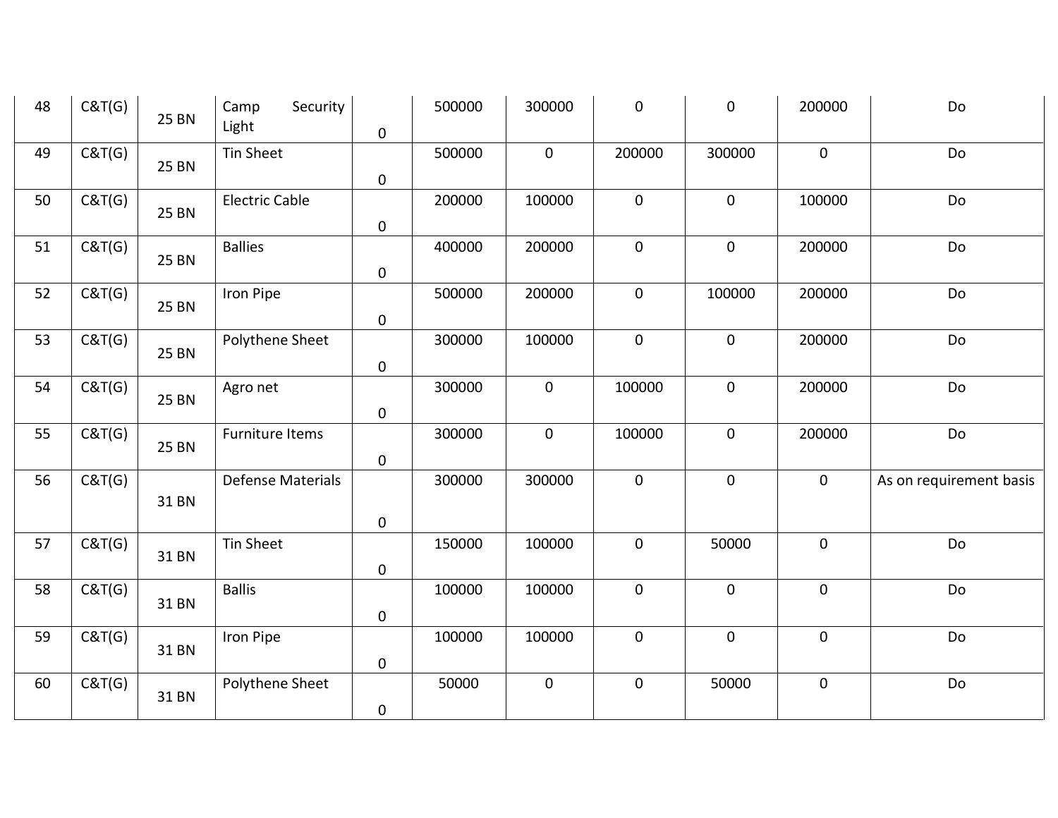| 48 | C&T(G) | <b>25 BN</b> | Security<br>Camp<br>Light | $\mathbf 0$         | 500000 | 300000      | $\pmb{0}$   | $\pmb{0}$   | 200000       | Do                      |
|----|--------|--------------|---------------------------|---------------------|--------|-------------|-------------|-------------|--------------|-------------------------|
| 49 | C&T(G) | <b>25 BN</b> | Tin Sheet                 | $\mathsf{O}\xspace$ | 500000 | $\mathbf 0$ | 200000      | 300000      | $\mathbf{0}$ | Do                      |
| 50 | C&T(G) | 25 BN        | <b>Electric Cable</b>     | $\pmb{0}$           | 200000 | 100000      | $\mathbf 0$ | $\mathbf 0$ | 100000       | Do                      |
| 51 | C&T(G) | <b>25 BN</b> | <b>Ballies</b>            | $\pmb{0}$           | 400000 | 200000      | $\pmb{0}$   | $\pmb{0}$   | 200000       | Do                      |
| 52 | C&T(G) | 25 BN        | Iron Pipe                 | $\pmb{0}$           | 500000 | 200000      | $\mathbf 0$ | 100000      | 200000       | Do                      |
| 53 | C&T(G) | <b>25 BN</b> | Polythene Sheet           | $\pmb{0}$           | 300000 | 100000      | $\pmb{0}$   | $\mathbf 0$ | 200000       | Do                      |
| 54 | C&T(G) | <b>25 BN</b> | Agro net                  | $\pmb{0}$           | 300000 | $\mathbf 0$ | 100000      | $\pmb{0}$   | 200000       | Do                      |
| 55 | C&T(G) | <b>25 BN</b> | Furniture Items           | $\pmb{0}$           | 300000 | $\mathbf 0$ | 100000      | $\pmb{0}$   | 200000       | Do                      |
| 56 | C&T(G) | 31 BN        | <b>Defense Materials</b>  | $\pmb{0}$           | 300000 | 300000      | $\mathbf 0$ | $\mathbf 0$ | $\mathbf 0$  | As on requirement basis |
| 57 | C&T(G) | 31 BN        | <b>Tin Sheet</b>          | $\pmb{0}$           | 150000 | 100000      | $\pmb{0}$   | 50000       | $\pmb{0}$    | Do                      |
| 58 | C&T(G) | 31 BN        | <b>Ballis</b>             | $\pmb{0}$           | 100000 | 100000      | $\mathbf 0$ | $\pmb{0}$   | $\pmb{0}$    | Do                      |
| 59 | C&T(G) | 31 BN        | Iron Pipe                 | $\pmb{0}$           | 100000 | 100000      | $\mathbf 0$ | $\mathbf 0$ | $\pmb{0}$    | Do                      |
| 60 | C&T(G) | 31 BN        | Polythene Sheet           | $\pmb{0}$           | 50000  | $\pmb{0}$   | $\pmb{0}$   | 50000       | $\pmb{0}$    | Do                      |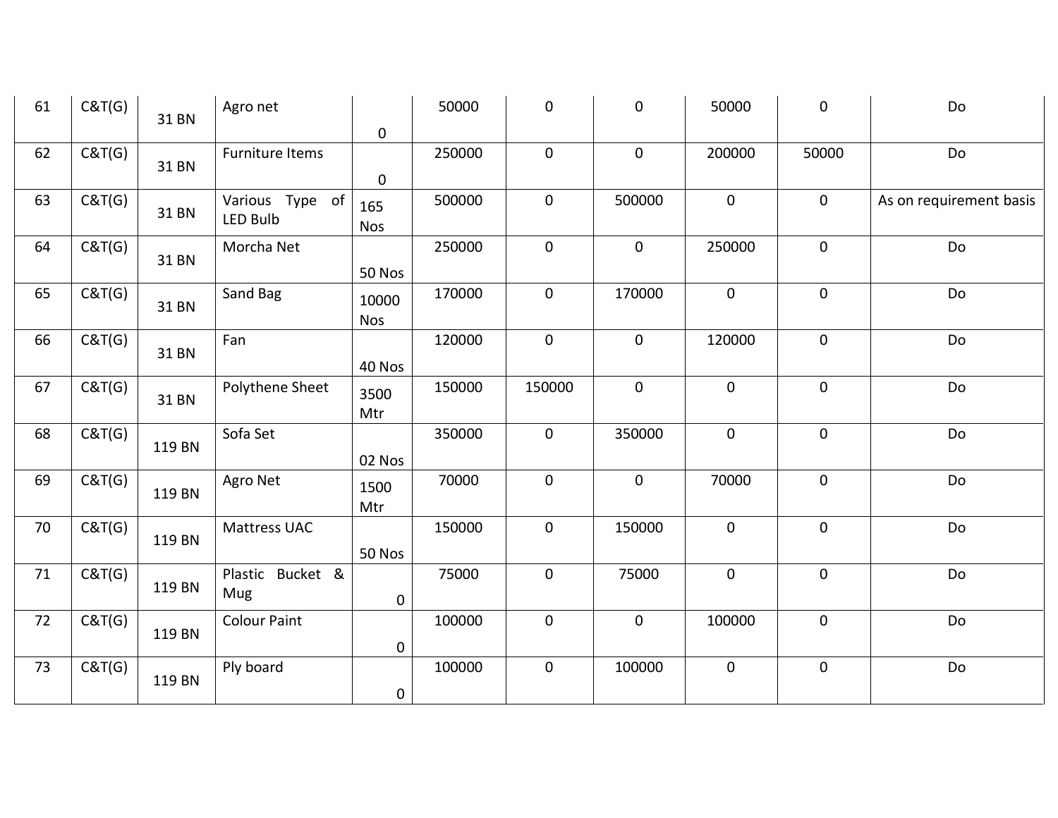| 61   | C&T(G) | 31 BN  | Agro net            |             | 50000  | $\pmb{0}$   | $\pmb{0}$   | 50000       | $\mathbf 0$  | Do                      |
|------|--------|--------|---------------------|-------------|--------|-------------|-------------|-------------|--------------|-------------------------|
|      |        |        |                     | 0           |        |             |             |             |              |                         |
| 62   | C&T(G) | 31 BN  | Furniture Items     |             | 250000 | $\mathbf 0$ | $\mathbf 0$ | 200000      | 50000        | Do                      |
|      |        |        |                     | $\mathbf 0$ |        |             |             |             |              |                         |
| 63   | C&T(G) | 31 BN  | Various Type of     | 165         | 500000 | $\mathbf 0$ | 500000      | $\mathbf 0$ | $\mathbf 0$  | As on requirement basis |
|      |        |        | <b>LED Bulb</b>     | <b>Nos</b>  |        |             |             |             |              |                         |
| 64   | C&T(G) |        | Morcha Net          |             | 250000 | $\mathbf 0$ | $\mathbf 0$ | 250000      | $\mathbf 0$  | Do                      |
|      |        | 31 BN  |                     | 50 Nos      |        |             |             |             |              |                         |
| 65   | C&T(G) |        | Sand Bag            | 10000       | 170000 | $\mathbf 0$ | 170000      | $\mathbf 0$ | $\mathbf 0$  | Do                      |
|      |        | 31 BN  |                     | Nos         |        |             |             |             |              |                         |
| 66   | C&T(G) |        | Fan                 |             | 120000 | $\mathbf 0$ | $\mathbf 0$ | 120000      | $\mathbf 0$  | Do                      |
|      |        | 31 BN  |                     | 40 Nos      |        |             |             |             |              |                         |
| 67   | C&T(G) |        | Polythene Sheet     | 3500        | 150000 | 150000      | $\mathbf 0$ | $\mathbf 0$ | $\mathbf 0$  | Do                      |
|      |        | 31 BN  |                     | Mtr         |        |             |             |             |              |                         |
| 68   | C&T(G) |        | Sofa Set            |             | 350000 | $\mathbf 0$ | 350000      | $\mathbf 0$ | $\mathbf 0$  | Do                      |
|      |        | 119 BN |                     | 02 Nos      |        |             |             |             |              |                         |
| 69   | C&T(G) |        |                     |             | 70000  | $\mathbf 0$ | $\mathbf 0$ | 70000       | $\mathbf 0$  | Do                      |
|      |        | 119 BN | Agro Net            | 1500        |        |             |             |             |              |                         |
|      |        |        |                     | Mtr         |        |             |             |             |              |                         |
| 70   | C&T(G) | 119 BN | Mattress UAC        |             | 150000 | $\mathbf 0$ | 150000      | $\pmb{0}$   | $\mathbf 0$  | Do                      |
|      |        |        |                     | 50 Nos      |        |             |             |             |              |                         |
| $71$ | C&T(G) |        | Plastic Bucket &    |             | 75000  | $\mathbf 0$ | 75000       | $\mathbf 0$ | $\mathbf 0$  | Do                      |
|      |        | 119 BN | Mug                 | $\mathbf 0$ |        |             |             |             |              |                         |
| 72   | C&T(G) |        | <b>Colour Paint</b> |             | 100000 | $\mathbf 0$ | $\mathbf 0$ | 100000      | $\mathbf{0}$ | Do                      |
|      |        | 119 BN |                     | $\mathbf 0$ |        |             |             |             |              |                         |
| 73   | C&T(G) |        | Ply board           |             | 100000 | $\mathbf 0$ | 100000      | $\mathbf 0$ | $\pmb{0}$    | Do                      |
|      |        | 119 BN |                     | $\mathbf 0$ |        |             |             |             |              |                         |
|      |        |        |                     |             |        |             |             |             |              |                         |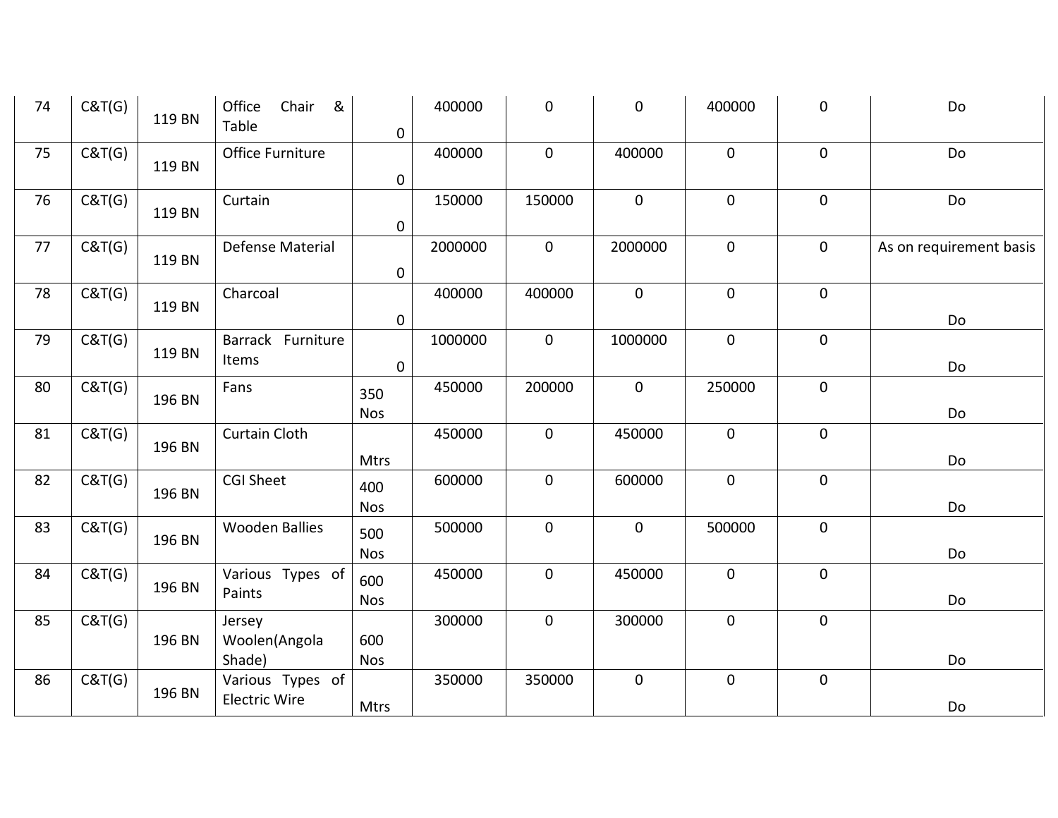| 74 | C&T(G) | 119 BN | &<br>Office<br>Chair<br>Table | 0                 | 400000  | $\pmb{0}$    | $\pmb{0}$   | 400000      | $\pmb{0}$      | Do                      |
|----|--------|--------|-------------------------------|-------------------|---------|--------------|-------------|-------------|----------------|-------------------------|
| 75 | C&T(G) | 119 BN | Office Furniture              | 0                 | 400000  | $\mathbf 0$  | 400000      | $\mathbf 0$ | $\mathbf 0$    | Do                      |
| 76 | C&T(G) | 119 BN | Curtain                       | $\mathbf 0$       | 150000  | 150000       | $\mathbf 0$ | $\pmb{0}$   | $\mathbf 0$    | Do                      |
| 77 | C&T(G) | 119 BN | Defense Material              | $\mathbf 0$       | 2000000 | $\mathbf 0$  | 2000000     | $\mathbf 0$ | $\mathbf 0$    | As on requirement basis |
| 78 | C&T(G) | 119 BN | Charcoal                      | 0                 | 400000  | 400000       | $\mathbf 0$ | $\pmb{0}$   | $\mathbf 0$    | Do                      |
| 79 | C&T(G) | 119 BN | Barrack Furniture<br>Items    | $\mathbf 0$       | 1000000 | $\mathbf 0$  | 1000000     | $\mathbf 0$ | $\mathbf 0$    | Do                      |
| 80 | C&T(G) | 196 BN | Fans                          | 350<br><b>Nos</b> | 450000  | 200000       | $\mathbf 0$ | 250000      | $\mathbf 0$    | Do                      |
| 81 | C&T(G) | 196 BN | <b>Curtain Cloth</b>          | Mtrs              | 450000  | $\mathbf{0}$ | 450000      | $\mathbf 0$ | $\overline{0}$ | Do                      |
| 82 | C&T(G) | 196 BN | <b>CGI Sheet</b>              | 400<br><b>Nos</b> | 600000  | $\mathbf 0$  | 600000      | $\mathbf 0$ | $\mathbf 0$    | Do                      |
| 83 | C&T(G) | 196 BN | <b>Wooden Ballies</b>         | 500<br><b>Nos</b> | 500000  | $\pmb{0}$    | $\mathbf 0$ | 500000      | $\mathbf 0$    | Do                      |
| 84 | C&T(G) | 196 BN | Various Types of<br>Paints    | 600<br><b>Nos</b> | 450000  | $\pmb{0}$    | 450000      | $\pmb{0}$   | $\pmb{0}$      | Do                      |
| 85 | C&T(G) | 196 BN | Jersey<br>Woolen(Angola       | 600               | 300000  | $\mathbf 0$  | 300000      | $\pmb{0}$   | $\pmb{0}$      |                         |
| 86 | C&T(G) | 196 BN | Shade)<br>Various Types of    | <b>Nos</b>        | 350000  | 350000       | $\mathbf 0$ | $\mathbf 0$ | $\mathbf 0$    | Do                      |
|    |        |        | <b>Electric Wire</b>          | Mtrs              |         |              |             |             |                | Do                      |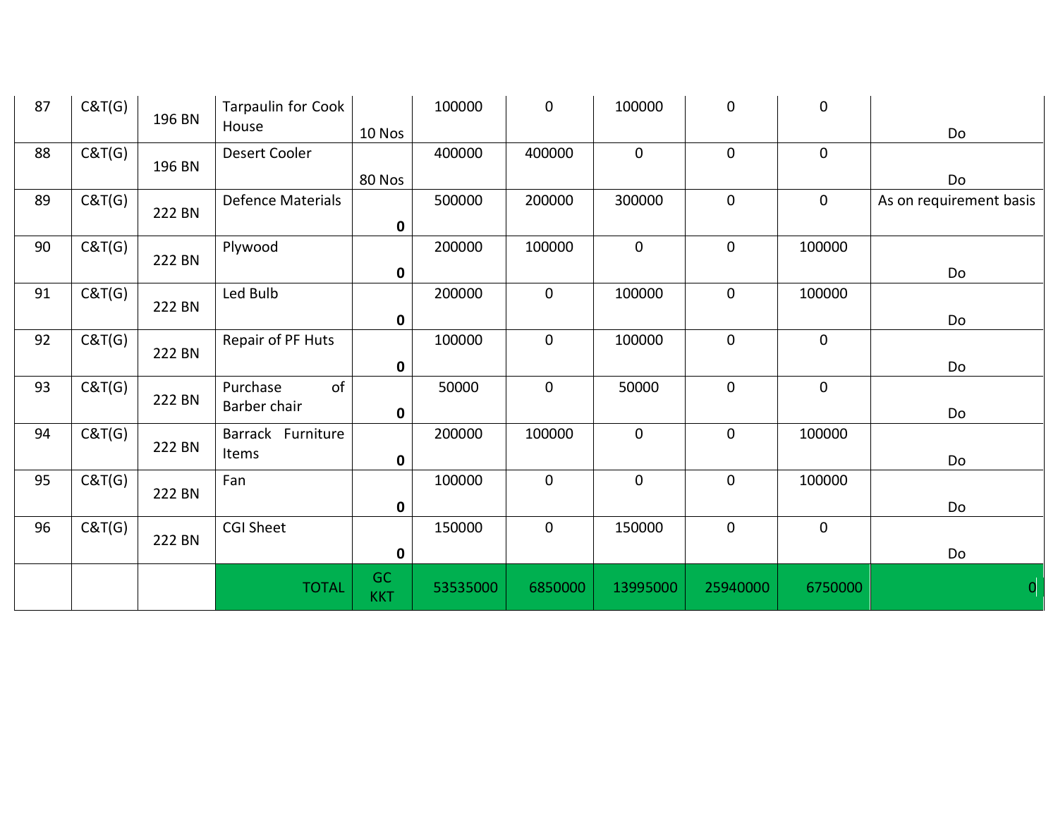| 87 | C&T(G) |        | Tarpaulin for Cook |                  | 100000   | $\mathbf 0$  | 100000      | $\mathbf 0$ | $\mathbf 0$ |                         |
|----|--------|--------|--------------------|------------------|----------|--------------|-------------|-------------|-------------|-------------------------|
|    |        | 196 BN | House              | 10 Nos           |          |              |             |             |             | Do                      |
| 88 | C&T(G) |        | Desert Cooler      |                  | 400000   | 400000       | $\mathbf 0$ | $\mathbf 0$ | $\mathbf 0$ |                         |
|    |        | 196 BN |                    | 80 Nos           |          |              |             |             |             | Do                      |
| 89 | C&T(G) |        | Defence Materials  |                  | 500000   | 200000       | 300000      | $\mathbf 0$ | $\mathbf 0$ | As on requirement basis |
|    |        | 222 BN |                    | 0                |          |              |             |             |             |                         |
| 90 | C&T(G) |        | Plywood            |                  | 200000   | 100000       | $\mathbf 0$ | $\mathbf 0$ | 100000      |                         |
|    |        | 222 BN |                    | $\mathbf 0$      |          |              |             |             |             | Do                      |
| 91 | C&T(G) |        | Led Bulb           |                  | 200000   | $\mathbf{0}$ | 100000      | $\mathbf 0$ | 100000      |                         |
|    |        | 222 BN |                    | 0                |          |              |             |             |             | Do                      |
| 92 | C&T(G) |        | Repair of PF Huts  |                  | 100000   | $\mathbf 0$  | 100000      | $\mathbf 0$ | $\mathbf 0$ |                         |
|    |        | 222 BN |                    | $\mathbf 0$      |          |              |             |             |             | Do                      |
| 93 | C&T(G) |        | of<br>Purchase     |                  | 50000    | $\mathbf 0$  | 50000       | $\mathbf 0$ | $\mathbf 0$ |                         |
|    |        | 222 BN | Barber chair       | $\mathbf 0$      |          |              |             |             |             | Do                      |
| 94 | C&T(G) |        | Barrack Furniture  |                  | 200000   | 100000       | $\mathbf 0$ | $\mathbf 0$ | 100000      |                         |
|    |        | 222 BN | Items              | 0                |          |              |             |             |             | Do                      |
| 95 | C&T(G) |        | Fan                |                  | 100000   | $\mathbf 0$  | $\mathbf 0$ | $\mathbf 0$ | 100000      |                         |
|    |        | 222 BN |                    | $\mathbf 0$      |          |              |             |             |             | Do                      |
| 96 | C&T(G) |        | <b>CGI Sheet</b>   |                  | 150000   | $\mathbf{0}$ | 150000      | $\mathbf 0$ | $\mathbf 0$ |                         |
|    |        | 222 BN |                    | 0                |          |              |             |             |             | Do                      |
|    |        |        | <b>TOTAL</b>       | GC<br><b>KKT</b> | 53535000 | 6850000      | 13995000    | 25940000    | 6750000     | $\mathbf{0}$            |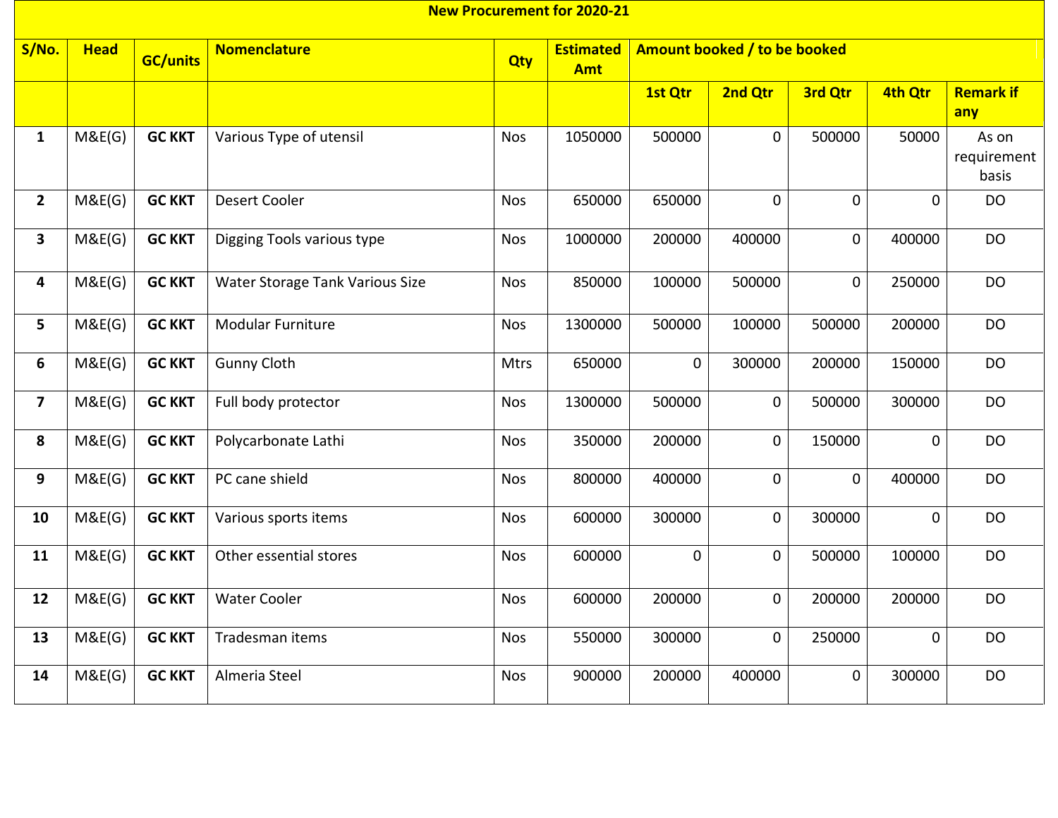|                         |             |                 |                                 |            | <b>New Procurement for 2020-21</b> |             |                              |                |             |                               |
|-------------------------|-------------|-----------------|---------------------------------|------------|------------------------------------|-------------|------------------------------|----------------|-------------|-------------------------------|
| S/No.                   | <b>Head</b> | <b>GC/units</b> | <b>Nomenclature</b>             | Qty        | <b>Estimated</b><br><b>Amt</b>     |             | Amount booked / to be booked |                |             |                               |
|                         |             |                 |                                 |            |                                    | 1st Qtr     | 2nd Qtr                      | 3rd Qtr        | 4th Qtr     | <b>Remark if</b><br>any       |
| $\mathbf{1}$            | M&E(G)      | <b>GC KKT</b>   | Various Type of utensil         | <b>Nos</b> | 1050000                            | 500000      | $\mathbf 0$                  | 500000         | 50000       | As on<br>requirement<br>basis |
| $2^{\circ}$             | M&E(G)      | <b>GC KKT</b>   | <b>Desert Cooler</b>            | <b>Nos</b> | 650000                             | 650000      | $\overline{0}$               | $\overline{0}$ | $\mathbf 0$ | <b>DO</b>                     |
| $\mathbf{3}$            | M&E(G)      | <b>GC KKT</b>   | Digging Tools various type      | <b>Nos</b> | 1000000                            | 200000      | 400000                       | $\mathbf 0$    | 400000      | <b>DO</b>                     |
| 4                       | M&E(G)      | <b>GC KKT</b>   | Water Storage Tank Various Size | <b>Nos</b> | 850000                             | 100000      | 500000                       | $\mathbf 0$    | 250000      | <b>DO</b>                     |
| 5                       | M&E(G)      | <b>GC KKT</b>   | <b>Modular Furniture</b>        | <b>Nos</b> | 1300000                            | 500000      | 100000                       | 500000         | 200000      | <b>DO</b>                     |
| 6                       | M&E(G)      | <b>GC KKT</b>   | <b>Gunny Cloth</b>              | Mtrs       | 650000                             | $\mathbf 0$ | 300000                       | 200000         | 150000      | <b>DO</b>                     |
| $\overline{\mathbf{z}}$ | M&E(G)      | <b>GC KKT</b>   | Full body protector             | <b>Nos</b> | 1300000                            | 500000      | $\mathbf 0$                  | 500000         | 300000      | <b>DO</b>                     |
| 8                       | M&E(G)      | <b>GC KKT</b>   | Polycarbonate Lathi             | <b>Nos</b> | 350000                             | 200000      | $\mathbf 0$                  | 150000         | $\mathbf 0$ | <b>DO</b>                     |
| 9                       | M&E(G)      | <b>GC KKT</b>   | PC cane shield                  | <b>Nos</b> | 800000                             | 400000      | 0                            | $\mathbf 0$    | 400000      | <b>DO</b>                     |
| 10                      | M&E(G)      | <b>GC KKT</b>   | Various sports items            | <b>Nos</b> | 600000                             | 300000      | 0                            | 300000         | 0           | <b>DO</b>                     |
| 11                      | M&E(G)      | <b>GC KKT</b>   | Other essential stores          | <b>Nos</b> | 600000                             | $\mathbf 0$ | $\mathbf 0$                  | 500000         | 100000      | <b>DO</b>                     |
| 12                      | M&E(G)      | <b>GC KKT</b>   | <b>Water Cooler</b>             | <b>Nos</b> | 600000                             | 200000      | $\mathbf 0$                  | 200000         | 200000      | <b>DO</b>                     |
| 13                      | M&E(G)      | <b>GC KKT</b>   | Tradesman items                 | <b>Nos</b> | 550000                             | 300000      | $\mathbf 0$                  | 250000         | $\mathbf 0$ | <b>DO</b>                     |
| 14                      | M&E(G)      | <b>GC KKT</b>   | Almeria Steel                   | <b>Nos</b> | 900000                             | 200000      | 400000                       | 0              | 300000      | <b>DO</b>                     |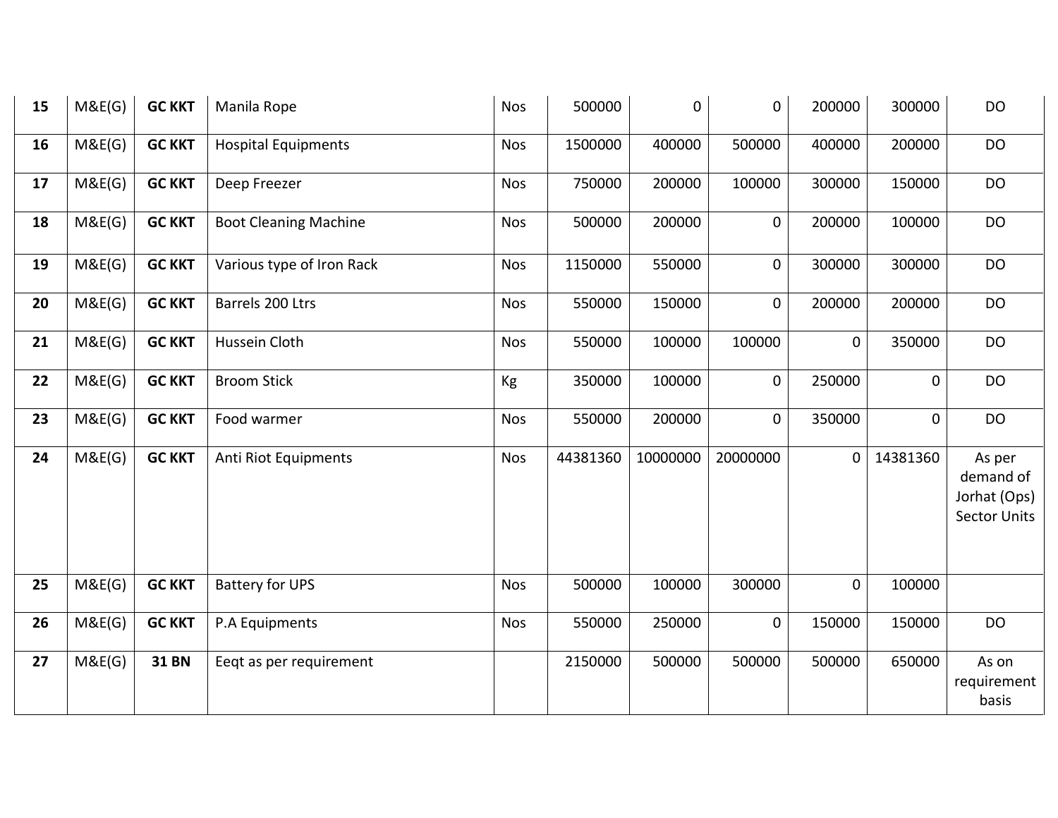| 15 | M&E(G) | <b>GC KKT</b> | Manila Rope                  | <b>Nos</b> | 500000   | 0        | 0           | 200000 | 300000      | DO                                                         |
|----|--------|---------------|------------------------------|------------|----------|----------|-------------|--------|-------------|------------------------------------------------------------|
| 16 | M&E(G) | <b>GC KKT</b> | <b>Hospital Equipments</b>   | <b>Nos</b> | 1500000  | 400000   | 500000      | 400000 | 200000      | <b>DO</b>                                                  |
| 17 | M&E(G) | <b>GC KKT</b> | Deep Freezer                 | <b>Nos</b> | 750000   | 200000   | 100000      | 300000 | 150000      | <b>DO</b>                                                  |
| 18 | M&E(G) | <b>GC KKT</b> | <b>Boot Cleaning Machine</b> | <b>Nos</b> | 500000   | 200000   | $\mathbf 0$ | 200000 | 100000      | <b>DO</b>                                                  |
| 19 | M&E(G) | <b>GC KKT</b> | Various type of Iron Rack    | <b>Nos</b> | 1150000  | 550000   | $\pmb{0}$   | 300000 | 300000      | <b>DO</b>                                                  |
| 20 | M&E(G) | <b>GC KKT</b> | Barrels 200 Ltrs             | <b>Nos</b> | 550000   | 150000   | $\mathbf 0$ | 200000 | 200000      | <b>DO</b>                                                  |
| 21 | M&E(G) | <b>GC KKT</b> | Hussein Cloth                | <b>Nos</b> | 550000   | 100000   | 100000      | 0      | 350000      | <b>DO</b>                                                  |
| 22 | M&E(G) | <b>GC KKT</b> | <b>Broom Stick</b>           | Kg         | 350000   | 100000   | $\pmb{0}$   | 250000 | $\mathbf 0$ | <b>DO</b>                                                  |
| 23 | M&E(G) | <b>GC KKT</b> | Food warmer                  | <b>Nos</b> | 550000   | 200000   | $\mathbf 0$ | 350000 | 0           | <b>DO</b>                                                  |
| 24 | M&E(G) | <b>GC KKT</b> | Anti Riot Equipments         | <b>Nos</b> | 44381360 | 10000000 | 20000000    | 0      | 14381360    | As per<br>demand of<br>Jorhat (Ops)<br><b>Sector Units</b> |
| 25 | M&E(G) | <b>GC KKT</b> | <b>Battery for UPS</b>       | <b>Nos</b> | 500000   | 100000   | 300000      | 0      | 100000      |                                                            |
| 26 | M&E(G) | <b>GC KKT</b> | P.A Equipments               | <b>Nos</b> | 550000   | 250000   | $\mathbf 0$ | 150000 | 150000      | <b>DO</b>                                                  |
| 27 | M&E(G) | <b>31 BN</b>  | Eeqt as per requirement      |            | 2150000  | 500000   | 500000      | 500000 | 650000      | As on<br>requirement<br>basis                              |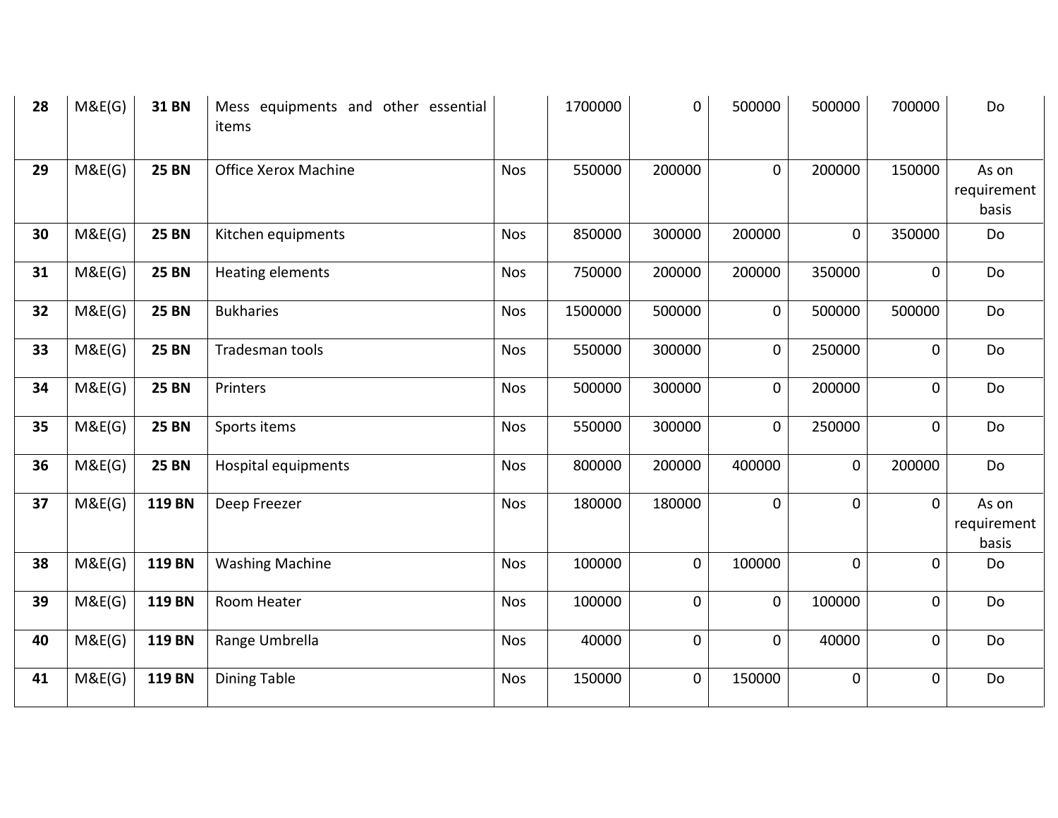| 28 | M&E(G) | <b>31 BN</b>  | Mess equipments and other essential<br>items |            | 1700000 | 0           | 500000      | 500000   | 700000         | Do                            |
|----|--------|---------------|----------------------------------------------|------------|---------|-------------|-------------|----------|----------------|-------------------------------|
| 29 | M&E(G) | <b>25 BN</b>  | Office Xerox Machine                         | <b>Nos</b> | 550000  | 200000      | $\mathbf 0$ | 200000   | 150000         | As on<br>requirement<br>basis |
| 30 | M&E(G) | <b>25 BN</b>  | Kitchen equipments                           | <b>Nos</b> | 850000  | 300000      | 200000      | 0        | 350000         | Do                            |
| 31 | M&E(G) | <b>25 BN</b>  | Heating elements                             | <b>Nos</b> | 750000  | 200000      | 200000      | 350000   | $\mathbf 0$    | Do                            |
| 32 | M&E(G) | <b>25 BN</b>  | <b>Bukharies</b>                             | <b>Nos</b> | 1500000 | 500000      | $\mathbf 0$ | 500000   | 500000         | Do                            |
| 33 | M&E(G) | <b>25 BN</b>  | Tradesman tools                              | <b>Nos</b> | 550000  | 300000      | $\mathbf 0$ | 250000   | $\overline{0}$ | Do                            |
| 34 | M&E(G) | <b>25 BN</b>  | Printers                                     | <b>Nos</b> | 500000  | 300000      | $\mathbf 0$ | 200000   | $\mathbf 0$    | Do                            |
| 35 | M&E(G) | <b>25 BN</b>  | Sports items                                 | <b>Nos</b> | 550000  | 300000      | $\mathbf 0$ | 250000   | $\mathbf 0$    | Do                            |
| 36 | M&E(G) | <b>25 BN</b>  | Hospital equipments                          | <b>Nos</b> | 800000  | 200000      | 400000      | 0        | 200000         | Do                            |
| 37 | M&E(G) | 119 BN        | Deep Freezer                                 | <b>Nos</b> | 180000  | 180000      | $\mathbf 0$ | 0        | $\mathbf 0$    | As on<br>requirement<br>basis |
| 38 | M&E(G) | <b>119 BN</b> | <b>Washing Machine</b>                       | <b>Nos</b> | 100000  | $\mathbf 0$ | 100000      | $\Omega$ | $\Omega$       | Do                            |
| 39 | M&E(G) | 119 BN        | Room Heater                                  | <b>Nos</b> | 100000  | 0           | $\mathbf 0$ | 100000   | $\mathbf 0$    | Do                            |
| 40 | M&E(G) | 119 BN        | Range Umbrella                               | <b>Nos</b> | 40000   | $\mathbf 0$ | $\mathbf 0$ | 40000    | $\mathbf 0$    | Do                            |
| 41 | M&E(G) | 119 BN        | <b>Dining Table</b>                          | <b>Nos</b> | 150000  | 0           | 150000      | 0        | $\mathbf 0$    | Do                            |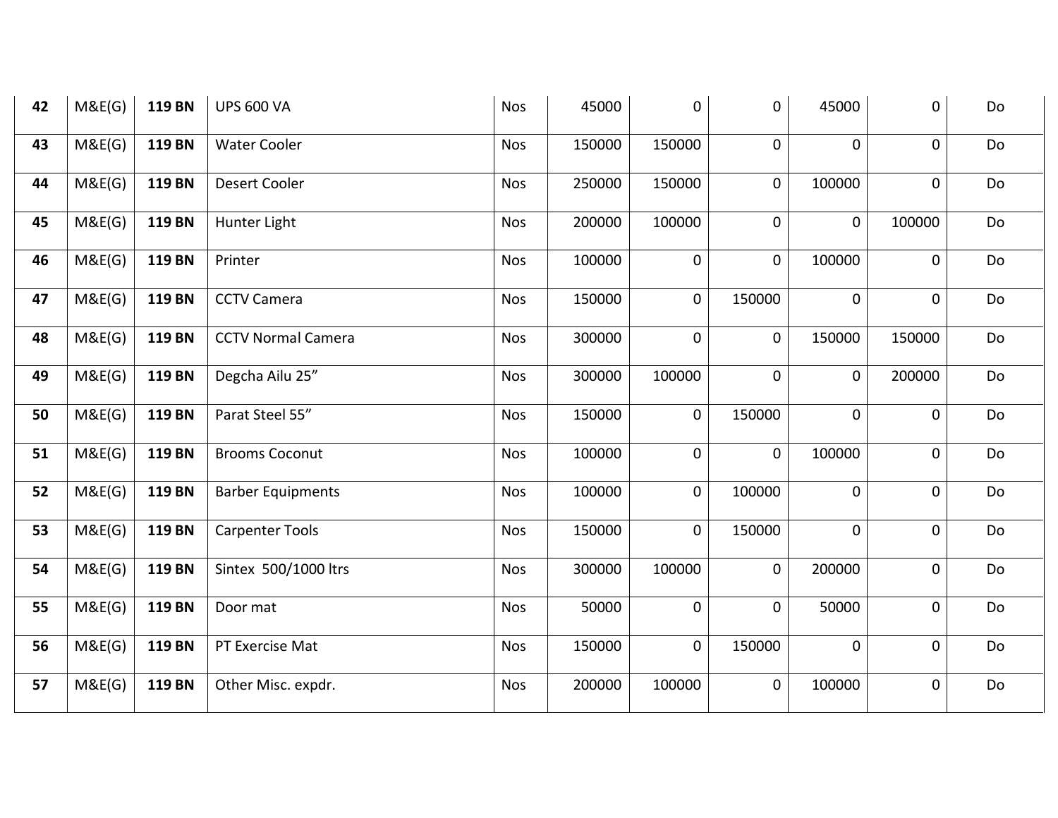| 42 | M&E(G) | 119 BN | <b>UPS 600 VA</b>         | <b>Nos</b> | 45000  | $\mathbf 0$ | $\mathbf 0$    | 45000          | 0              | Do |
|----|--------|--------|---------------------------|------------|--------|-------------|----------------|----------------|----------------|----|
| 43 | M&E(G) | 119 BN | <b>Water Cooler</b>       | <b>Nos</b> | 150000 | 150000      | $\mathbf 0$    | 0              | 0              | Do |
| 44 | M&E(G) | 119 BN | Desert Cooler             | <b>Nos</b> | 250000 | 150000      | $\mathbf 0$    | 100000         | 0              | Do |
| 45 | M&E(G) | 119 BN | Hunter Light              | <b>Nos</b> | 200000 | 100000      | $\mathbf 0$    | 0              | 100000         | Do |
| 46 | M&E(G) | 119 BN | Printer                   | <b>Nos</b> | 100000 | $\pmb{0}$   | $\mathbf 0$    | 100000         | 0              | Do |
| 47 | M&E(G) | 119 BN | <b>CCTV Camera</b>        | <b>Nos</b> | 150000 | $\mathbf 0$ | 150000         | 0              | $\mathbf 0$    | Do |
| 48 | M&E(G) | 119 BN | <b>CCTV Normal Camera</b> | <b>Nos</b> | 300000 | $\mathbf 0$ | $\mathbf 0$    | 150000         | 150000         | Do |
| 49 | M&E(G) | 119 BN | Degcha Ailu 25"           | <b>Nos</b> | 300000 | 100000      | $\mathbf{0}$   | $\overline{0}$ | 200000         | Do |
| 50 | M&E(G) | 119 BN | Parat Steel 55"           | <b>Nos</b> | 150000 | $\mathbf 0$ | 150000         | $\overline{0}$ | $\mathbf 0$    | Do |
| 51 | M&E(G) | 119 BN | <b>Brooms Coconut</b>     | <b>Nos</b> | 100000 | $\mathbf 0$ | $\pmb{0}$      | 100000         | 0              | Do |
| 52 | M&E(G) | 119 BN | <b>Barber Equipments</b>  | <b>Nos</b> | 100000 | $\pmb{0}$   | 100000         | 0              | 0              | Do |
| 53 | M&E(G) | 119 BN | <b>Carpenter Tools</b>    | <b>Nos</b> | 150000 | $\mathbf 0$ | 150000         | 0              | $\mathbf 0$    | Do |
| 54 | M&E(G) | 119 BN | Sintex 500/1000 ltrs      | <b>Nos</b> | 300000 | 100000      | $\mathsf{O}$   | 200000         | $\mathbf 0$    | Do |
| 55 | M&E(G) | 119 BN | Door mat                  | <b>Nos</b> | 50000  | $\pmb{0}$   | $\overline{0}$ | 50000          | $\mathbf 0$    | Do |
| 56 | M&E(G) | 119 BN | PT Exercise Mat           | <b>Nos</b> | 150000 | $\mathbf 0$ | 150000         | 0              | $\overline{0}$ | Do |
| 57 | M&E(G) | 119 BN | Other Misc. expdr.        | <b>Nos</b> | 200000 | 100000      | 0              | 100000         | 0              | Do |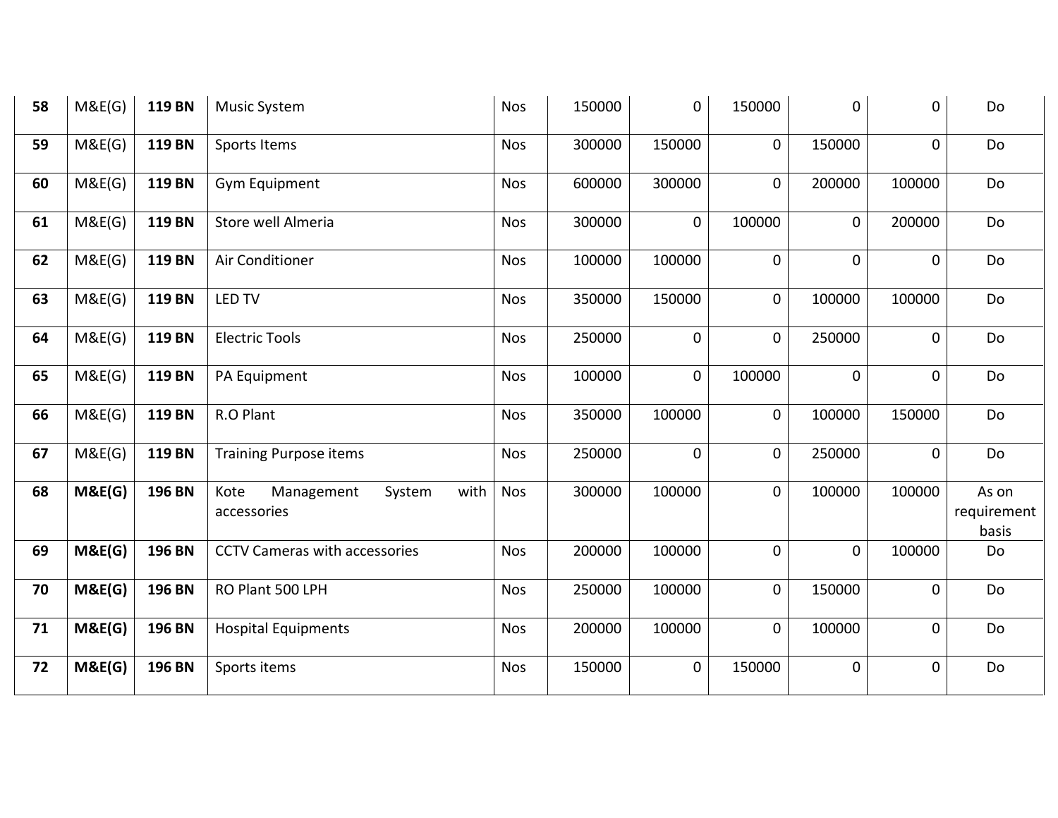| 58 | M&E(G) | <b>119 BN</b> | <b>Music System</b>                                 | <b>Nos</b> | 150000 | 0           | 150000         | $\mathbf 0$ | $\mathbf 0$ | Do                            |
|----|--------|---------------|-----------------------------------------------------|------------|--------|-------------|----------------|-------------|-------------|-------------------------------|
| 59 | M&E(G) | 119 BN        | Sports Items                                        | <b>Nos</b> | 300000 | 150000      | $\mathbf 0$    | 150000      | $\mathbf 0$ | Do                            |
| 60 | M&E(G) | 119 BN        | Gym Equipment                                       | <b>Nos</b> | 600000 | 300000      | $\mathbf 0$    | 200000      | 100000      | Do                            |
| 61 | M&E(G) | 119 BN        | Store well Almeria                                  | <b>Nos</b> | 300000 | $\mathbf 0$ | 100000         | $\mathbf 0$ | 200000      | Do                            |
| 62 | M&E(G) | 119 BN        | Air Conditioner                                     | <b>Nos</b> | 100000 | 100000      | $\mathbf 0$    | 0           | 0           | Do                            |
| 63 | M&E(G) | 119 BN        | <b>LED TV</b>                                       | <b>Nos</b> | 350000 | 150000      | $\mathbf 0$    | 100000      | 100000      | Do                            |
| 64 | M&E(G) | 119 BN        | <b>Electric Tools</b>                               | <b>Nos</b> | 250000 | $\mathbf 0$ | $\mathbf 0$    | 250000      | $\mathbf 0$ | Do                            |
| 65 | M&E(G) | <b>119 BN</b> | PA Equipment                                        | <b>Nos</b> | 100000 | $\mathbf 0$ | 100000         | $\mathbf 0$ | $\mathbf 0$ | Do                            |
| 66 | M&E(G) | 119 BN        | R.O Plant                                           | <b>Nos</b> | 350000 | 100000      | $\mathbf 0$    | 100000      | 150000      | Do                            |
| 67 | M&E(G) | 119 BN        | <b>Training Purpose items</b>                       | <b>Nos</b> | 250000 | $\mathbf 0$ | $\mathbf 0$    | 250000      | $\mathbf 0$ | Do                            |
| 68 | M&E(G) | <b>196 BN</b> | with<br>Kote<br>Management<br>System<br>accessories | <b>Nos</b> | 300000 | 100000      | 0              | 100000      | 100000      | As on<br>requirement<br>basis |
| 69 | M&E(G) | 196 BN        | <b>CCTV Cameras with accessories</b>                | <b>Nos</b> | 200000 | 100000      | $\overline{0}$ | $\mathbf 0$ | 100000      | Do                            |
| 70 | M&E(G) | 196 BN        | RO Plant 500 LPH                                    | <b>Nos</b> | 250000 | 100000      | $\mathbf 0$    | 150000      | 0           | Do                            |
| 71 | M&E(G) | 196 BN        | <b>Hospital Equipments</b>                          | <b>Nos</b> | 200000 | 100000      | $\mathbf 0$    | 100000      | 0           | Do                            |
| 72 | M&E(G) | 196 BN        | Sports items                                        | <b>Nos</b> | 150000 | $\mathbf 0$ | 150000         | 0           | 0           | Do                            |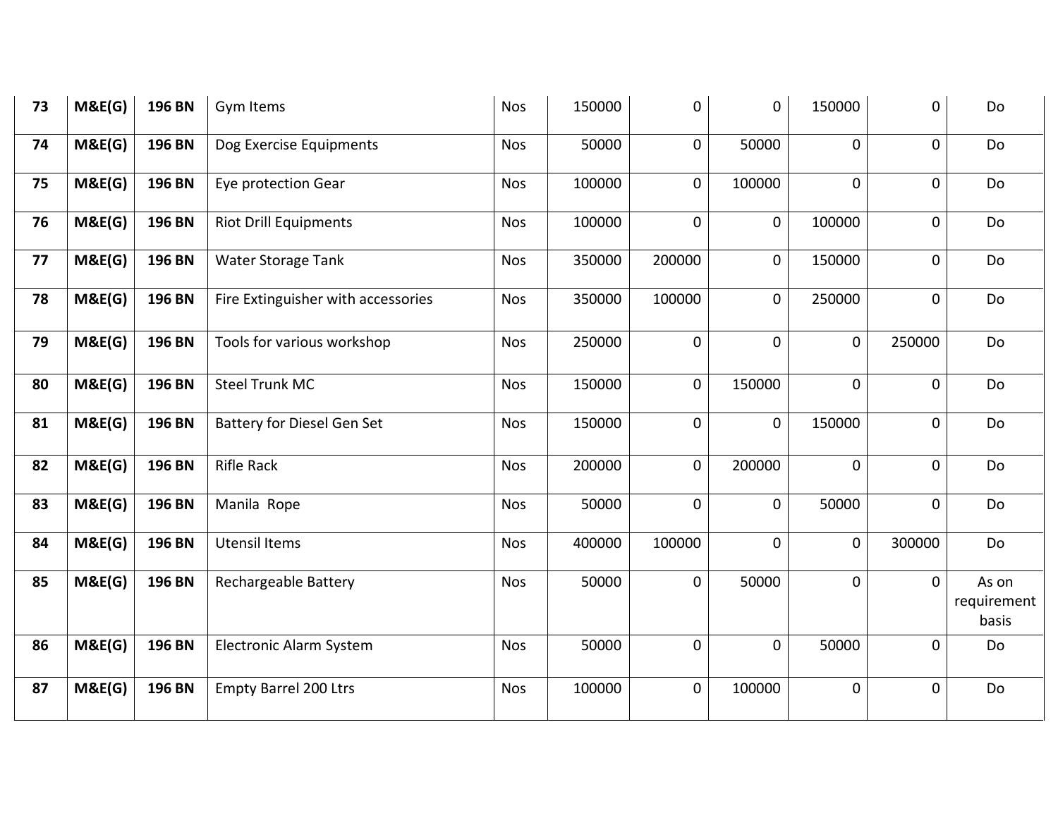| 73 | M&E(G) | 196 BN | Gym Items                          | <b>Nos</b> | 150000 | 0              | $\mathbf 0$  | 150000 | 0              | Do                            |
|----|--------|--------|------------------------------------|------------|--------|----------------|--------------|--------|----------------|-------------------------------|
| 74 | M&E(G) | 196 BN | Dog Exercise Equipments            | <b>Nos</b> | 50000  | 0              | 50000        | 0      | $\mathbf 0$    | Do                            |
| 75 | M&E(G) | 196 BN | Eye protection Gear                | <b>Nos</b> | 100000 | 0              | 100000       | 0      | $\mathbf 0$    | Do                            |
| 76 | M&E(G) | 196 BN | <b>Riot Drill Equipments</b>       | <b>Nos</b> | 100000 | $\overline{0}$ | $\mathsf{O}$ | 100000 | $\mathbf 0$    | Do                            |
| 77 | M&E(G) | 196 BN | Water Storage Tank                 | <b>Nos</b> | 350000 | 200000         | $\mathbf 0$  | 150000 | $\mathbf 0$    | Do                            |
| 78 | M&E(G) | 196 BN | Fire Extinguisher with accessories | <b>Nos</b> | 350000 | 100000         | $\mathbf 0$  | 250000 | $\mathbf 0$    | Do                            |
| 79 | M&E(G) | 196 BN | Tools for various workshop         | <b>Nos</b> | 250000 | $\mathbf 0$    | $\mathbf 0$  | 0      | 250000         | Do                            |
| 80 | M&E(G) | 196 BN | <b>Steel Trunk MC</b>              | <b>Nos</b> | 150000 | 0              | 150000       | 0      | $\mathbf 0$    | Do                            |
| 81 | M&E(G) | 196 BN | <b>Battery for Diesel Gen Set</b>  | <b>Nos</b> | 150000 | 0              | $\mathsf{O}$ | 150000 | $\overline{0}$ | Do                            |
| 82 | M&E(G) | 196 BN | <b>Rifle Rack</b>                  | Nos        | 200000 | 0              | 200000       | 0      | $\mathbf 0$    | Do                            |
| 83 | M&E(G) | 196 BN | Manila Rope                        | <b>Nos</b> | 50000  | $\mathbf 0$    | $\mathsf{O}$ | 50000  | $\mathbf 0$    | Do                            |
| 84 | M&E(G) | 196 BN | <b>Utensil Items</b>               | <b>Nos</b> | 400000 | 100000         | $\mathbf 0$  | 0      | 300000         | Do                            |
| 85 | M&E(G) | 196 BN | Rechargeable Battery               | <b>Nos</b> | 50000  | $\pmb{0}$      | 50000        | 0      | $\mathbf 0$    | As on<br>requirement<br>basis |
| 86 | M&E(G) | 196 BN | Electronic Alarm System            | <b>Nos</b> | 50000  | 0              | $\mathbf 0$  | 50000  | $\mathbf 0$    | Do                            |
| 87 | M&E(G) | 196 BN | <b>Empty Barrel 200 Ltrs</b>       | <b>Nos</b> | 100000 | $\mathbf 0$    | 100000       | 0      | $\mathbf 0$    | Do                            |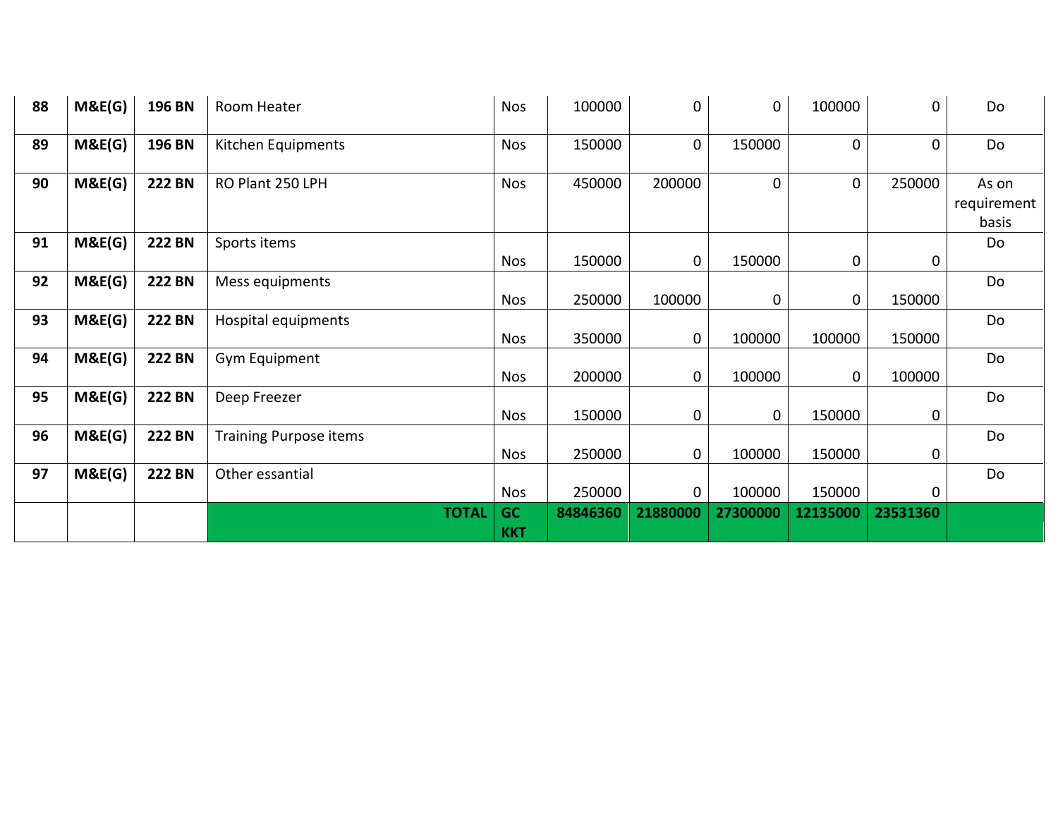| 88 | M&E(G) | 196 BN        | Room Heater                   | <b>Nos</b>              | 100000   | 0        | $\mathbf 0$ | 100000   | $\mathbf 0$ | Do                            |
|----|--------|---------------|-------------------------------|-------------------------|----------|----------|-------------|----------|-------------|-------------------------------|
| 89 | M&E(G) | 196 BN        | Kitchen Equipments            | <b>Nos</b>              | 150000   | 0        | 150000      | 0        | $\mathbf 0$ | Do                            |
| 90 | M&E(G) | <b>222 BN</b> | RO Plant 250 LPH              | <b>Nos</b>              | 450000   | 200000   | $\mathbf 0$ | 0        | 250000      | As on<br>requirement<br>basis |
| 91 | M&E(G) | <b>222 BN</b> | Sports items                  | <b>Nos</b>              | 150000   | 0        | 150000      | 0        | $\mathbf 0$ | Do                            |
| 92 | M&E(G) | <b>222 BN</b> | Mess equipments               | <b>Nos</b>              | 250000   | 100000   | 0           | 0        | 150000      | Do                            |
| 93 | M&E(G) | <b>222 BN</b> | Hospital equipments           | <b>Nos</b>              | 350000   | 0        | 100000      | 100000   | 150000      | Do                            |
| 94 | M&E(G) | <b>222 BN</b> | Gym Equipment                 | <b>Nos</b>              | 200000   | 0        | 100000      | 0        | 100000      | Do                            |
| 95 | M&E(G) | <b>222 BN</b> | Deep Freezer                  | <b>Nos</b>              | 150000   | 0        | 0           | 150000   | $\mathbf 0$ | Do                            |
| 96 | M&E(G) | <b>222 BN</b> | <b>Training Purpose items</b> | <b>Nos</b>              | 250000   | 0        | 100000      | 150000   | 0           | Do                            |
| 97 | M&E(G) | <b>222 BN</b> | Other essantial               | <b>Nos</b>              | 250000   | 0        | 100000      | 150000   | $\Omega$    | Do                            |
|    |        |               | <b>TOTAL</b>                  | <b>GC</b><br><b>KKT</b> | 84846360 | 21880000 | 27300000    | 12135000 | 23531360    |                               |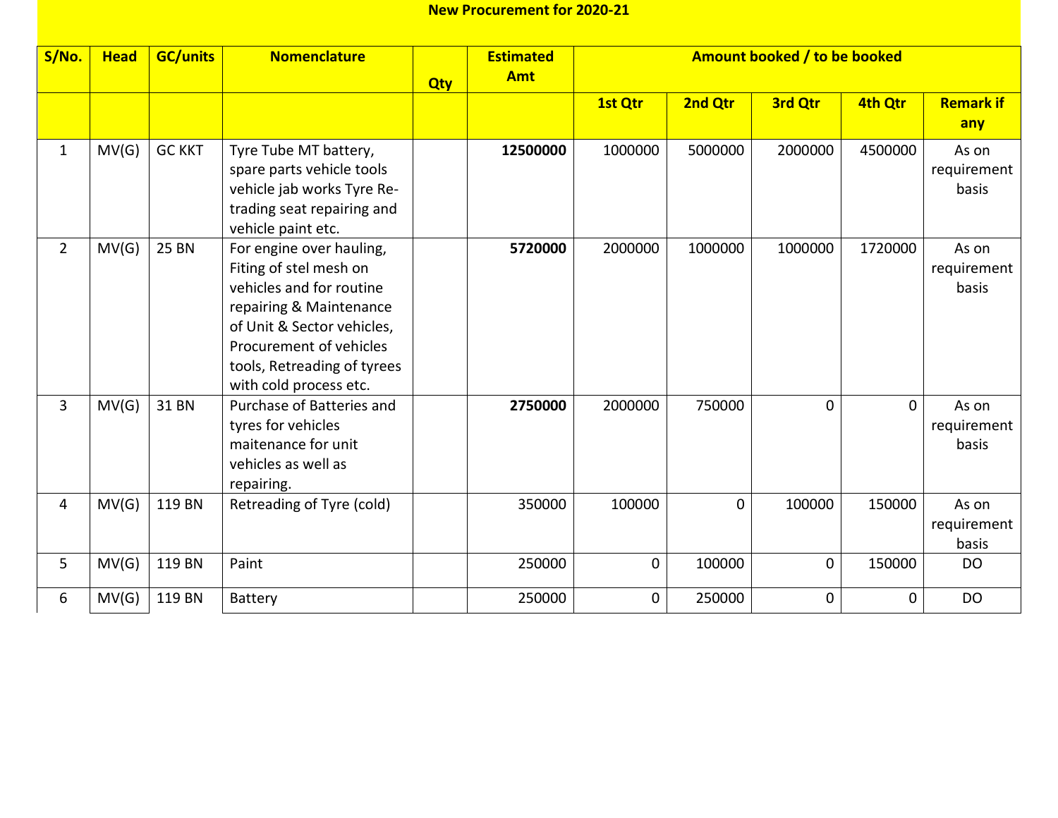| S/No.          | <b>Head</b> | <b>GC/units</b> | <b>Nomenclature</b>                                                                                                                                                                                                         | <b>Qty</b> | <b>Estimated</b><br><b>Amt</b> |             |          | Amount booked / to be booked |             |                               |
|----------------|-------------|-----------------|-----------------------------------------------------------------------------------------------------------------------------------------------------------------------------------------------------------------------------|------------|--------------------------------|-------------|----------|------------------------------|-------------|-------------------------------|
|                |             |                 |                                                                                                                                                                                                                             |            |                                | 1st Qtr     | 2nd Qtr  | 3rd Qtr                      | 4th Qtr     | <b>Remark if</b><br>any       |
| $\mathbf{1}$   | MV(G)       | <b>GC KKT</b>   | Tyre Tube MT battery,<br>spare parts vehicle tools<br>vehicle jab works Tyre Re-<br>trading seat repairing and<br>vehicle paint etc.                                                                                        |            | 12500000                       | 1000000     | 5000000  | 2000000                      | 4500000     | As on<br>requirement<br>basis |
| $\overline{2}$ | MV(G)       | <b>25 BN</b>    | For engine over hauling,<br>Fiting of stel mesh on<br>vehicles and for routine<br>repairing & Maintenance<br>of Unit & Sector vehicles,<br>Procurement of vehicles<br>tools, Retreading of tyrees<br>with cold process etc. |            | 5720000                        | 2000000     | 1000000  | 1000000                      | 1720000     | As on<br>requirement<br>basis |
| 3              | MV(G)       | 31 BN           | Purchase of Batteries and<br>tyres for vehicles<br>maitenance for unit<br>vehicles as well as<br>repairing.                                                                                                                 |            | 2750000                        | 2000000     | 750000   | $\mathbf 0$                  | $\mathbf 0$ | As on<br>requirement<br>basis |
| 4              | MV(G)       | 119 BN          | Retreading of Tyre (cold)                                                                                                                                                                                                   |            | 350000                         | 100000      | $\Omega$ | 100000                       | 150000      | As on<br>requirement<br>basis |
| 5              | MV(G)       | 119 BN          | Paint                                                                                                                                                                                                                       |            | 250000                         | $\mathbf 0$ | 100000   | 0                            | 150000      | <b>DO</b>                     |
| 6              | MV(G)       | 119 BN          | Battery                                                                                                                                                                                                                     |            | 250000                         | $\mathbf 0$ | 250000   | $\mathbf 0$                  | 0           | <b>DO</b>                     |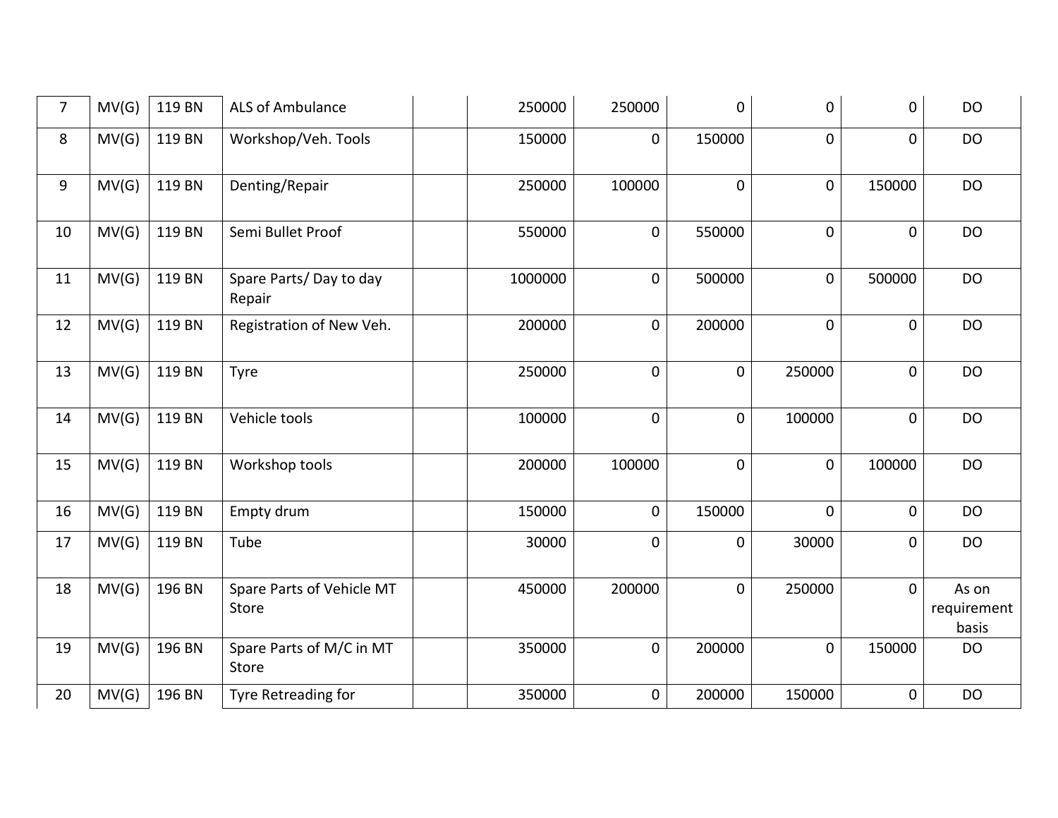| $\overline{7}$ | MV(G) | 119 BN | ALS of Ambulance                   | 250000  | 250000      | 0              | 0              | $\boldsymbol{0}$ | <b>DO</b>                     |
|----------------|-------|--------|------------------------------------|---------|-------------|----------------|----------------|------------------|-------------------------------|
| 8              | MV(G) | 119 BN | Workshop/Veh. Tools                | 150000  | $\mathbf 0$ | 150000         | 0              | $\mathbf 0$      | DO                            |
| 9              | MV(G) | 119 BN | Denting/Repair                     | 250000  | 100000      | $\overline{0}$ | $\mathbf 0$    | 150000           | <b>DO</b>                     |
| 10             | MV(G) | 119 BN | Semi Bullet Proof                  | 550000  | $\mathbf 0$ | 550000         | 0              | $\mathbf 0$      | <b>DO</b>                     |
| 11             | MV(G) | 119 BN | Spare Parts/Day to day<br>Repair   | 1000000 | $\mathbf 0$ | 500000         | $\mathbf 0$    | 500000           | <b>DO</b>                     |
| 12             | MV(G) | 119 BN | Registration of New Veh.           | 200000  | $\mathbf 0$ | 200000         | 0              | $\mathbf 0$      | <b>DO</b>                     |
| 13             | MV(G) | 119 BN | Tyre                               | 250000  | $\mathbf 0$ | $\mathbf 0$    | 250000         | $\mathbf 0$      | <b>DO</b>                     |
| 14             | MV(G) | 119 BN | Vehicle tools                      | 100000  | $\mathbf 0$ | 0              | 100000         | $\mathbf 0$      | <b>DO</b>                     |
| 15             | MV(G) | 119 BN | Workshop tools                     | 200000  | 100000      | $\mathbf 0$    | $\mathbf 0$    | 100000           | <b>DO</b>                     |
| 16             | MV(G) | 119 BN | Empty drum                         | 150000  | $\mathbf 0$ | 150000         | $\overline{0}$ | $\mathbf 0$      | <b>DO</b>                     |
| 17             | MV(G) | 119 BN | Tube                               | 30000   | $\mathbf 0$ | 0              | 30000          | $\mathbf 0$      | <b>DO</b>                     |
| 18             | MV(G) | 196 BN | Spare Parts of Vehicle MT<br>Store | 450000  | 200000      | $\mathbf 0$    | 250000         | $\mathbf 0$      | As on<br>requirement<br>basis |
| 19             | MV(G) | 196 BN | Spare Parts of M/C in MT<br>Store  | 350000  | $\mathbf 0$ | 200000         | $\mathbf 0$    | 150000           | <b>DO</b>                     |
| 20             | MV(G) | 196 BN | Tyre Retreading for                | 350000  | $\mathbf 0$ | 200000         | 150000         | $\pmb{0}$        | <b>DO</b>                     |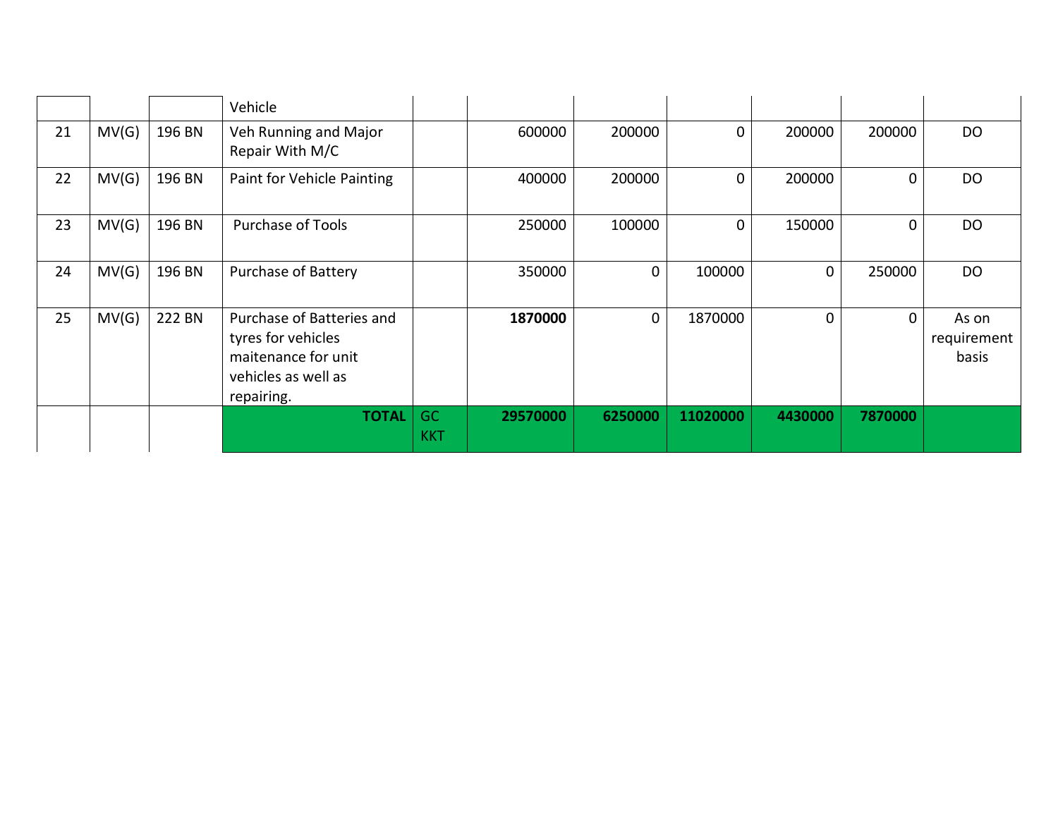|    |       |        | Vehicle                                                                                                     |                         |          |          |                |         |             |                               |
|----|-------|--------|-------------------------------------------------------------------------------------------------------------|-------------------------|----------|----------|----------------|---------|-------------|-------------------------------|
| 21 | MV(G) | 196 BN | Veh Running and Major<br>Repair With M/C                                                                    |                         | 600000   | 200000   | 0              | 200000  | 200000      | <b>DO</b>                     |
| 22 | MV(G) | 196 BN | Paint for Vehicle Painting                                                                                  |                         | 400000   | 200000   | $\overline{0}$ | 200000  | $\mathbf 0$ | DO                            |
| 23 | MV(G) | 196 BN | <b>Purchase of Tools</b>                                                                                    |                         | 250000   | 100000   | $\overline{0}$ | 150000  | $\mathbf 0$ | DO                            |
| 24 | MV(G) | 196 BN | <b>Purchase of Battery</b>                                                                                  |                         | 350000   | 0        | 100000         | 0       | 250000      | DO                            |
| 25 | MV(G) | 222 BN | Purchase of Batteries and<br>tyres for vehicles<br>maitenance for unit<br>vehicles as well as<br>repairing. |                         | 1870000  | $\Omega$ | 1870000        | 0       | $\Omega$    | As on<br>requirement<br>basis |
|    |       |        | <b>TOTAL</b>                                                                                                | <b>GC</b><br><b>KKT</b> | 29570000 | 6250000  | 11020000       | 4430000 | 7870000     |                               |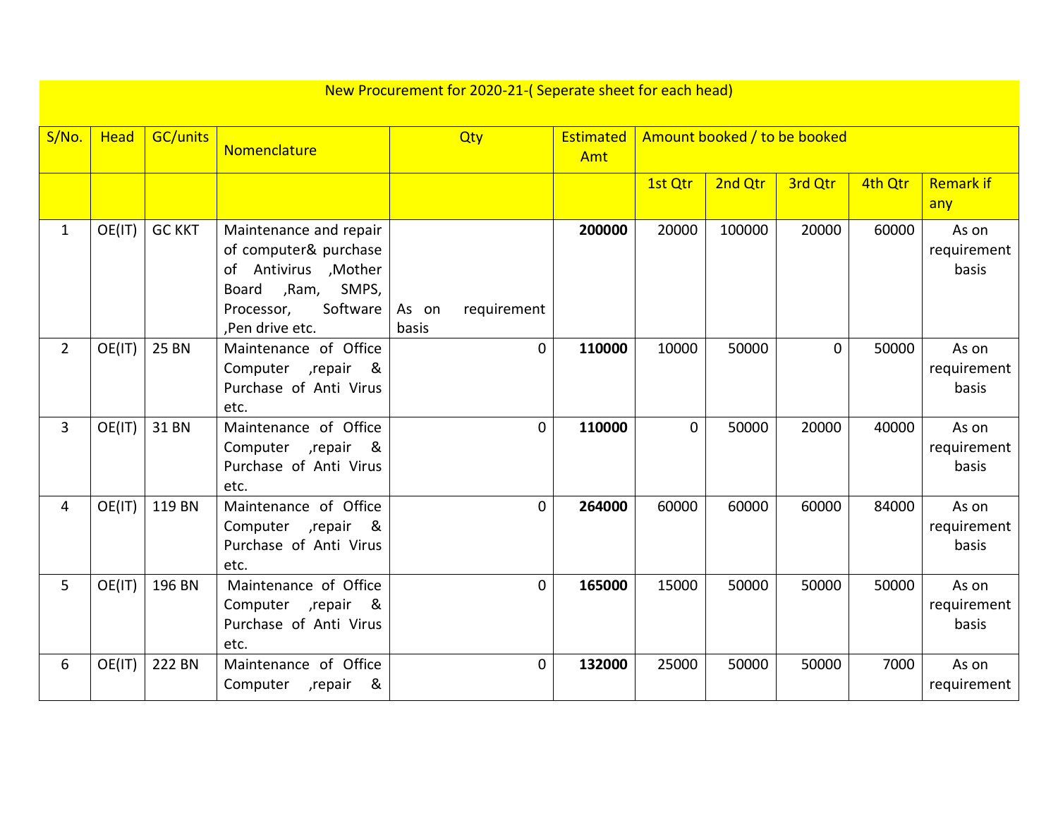|                | New Procurement for 2020-21-(Seperate sheet for each head) |                 |                                                                                                                                               |                               |                         |          |         |                              |         |                               |
|----------------|------------------------------------------------------------|-----------------|-----------------------------------------------------------------------------------------------------------------------------------------------|-------------------------------|-------------------------|----------|---------|------------------------------|---------|-------------------------------|
| S/No.          | <b>Head</b>                                                | <b>GC/units</b> | Nomenclature                                                                                                                                  | Qty                           | <b>Estimated</b><br>Amt |          |         | Amount booked / to be booked |         |                               |
|                |                                                            |                 |                                                                                                                                               |                               |                         | 1st Qtr  | 2nd Qtr | 3rd Qtr                      | 4th Qtr | <b>Remark if</b><br>any       |
| $\mathbf{1}$   | OE(IT)                                                     | <b>GC KKT</b>   | Maintenance and repair<br>of computer& purchase<br>of Antivirus , Mother<br>,Ram, SMPS,<br>Board<br>Software<br>Processor,<br>.Pen drive etc. | As on<br>requirement<br>basis | 200000                  | 20000    | 100000  | 20000                        | 60000   | As on<br>requirement<br>basis |
| $\overline{2}$ | OE(IT)                                                     | <b>25 BN</b>    | Maintenance of Office<br>Computer , repair<br>&<br>Purchase of Anti Virus<br>etc.                                                             | $\mathbf{0}$                  | 110000                  | 10000    | 50000   | $\mathbf{0}$                 | 50000   | As on<br>requirement<br>basis |
| $\overline{3}$ | OE(IT)                                                     | 31 BN           | Maintenance of Office<br>Computer , repair<br>&<br>Purchase of Anti Virus<br>etc.                                                             | $\mathbf{O}$                  | 110000                  | $\Omega$ | 50000   | 20000                        | 40000   | As on<br>requirement<br>basis |
| 4              | OE(IT)                                                     | 119 BN          | Maintenance of Office<br>Computer , repair<br>&<br>Purchase of Anti Virus<br>etc.                                                             | $\mathbf 0$                   | 264000                  | 60000    | 60000   | 60000                        | 84000   | As on<br>requirement<br>basis |
| 5              | OE(IT)                                                     | 196 BN          | Maintenance of Office<br>Computer , repair<br>୍ଷ<br>Purchase of Anti Virus<br>etc.                                                            | $\mathbf{0}$                  | 165000                  | 15000    | 50000   | 50000                        | 50000   | As on<br>requirement<br>basis |
| 6              | OE(IT)                                                     | 222 BN          | Maintenance of Office<br>&<br>Computer , repair                                                                                               | $\mathbf{0}$                  | 132000                  | 25000    | 50000   | 50000                        | 7000    | As on<br>requirement          |